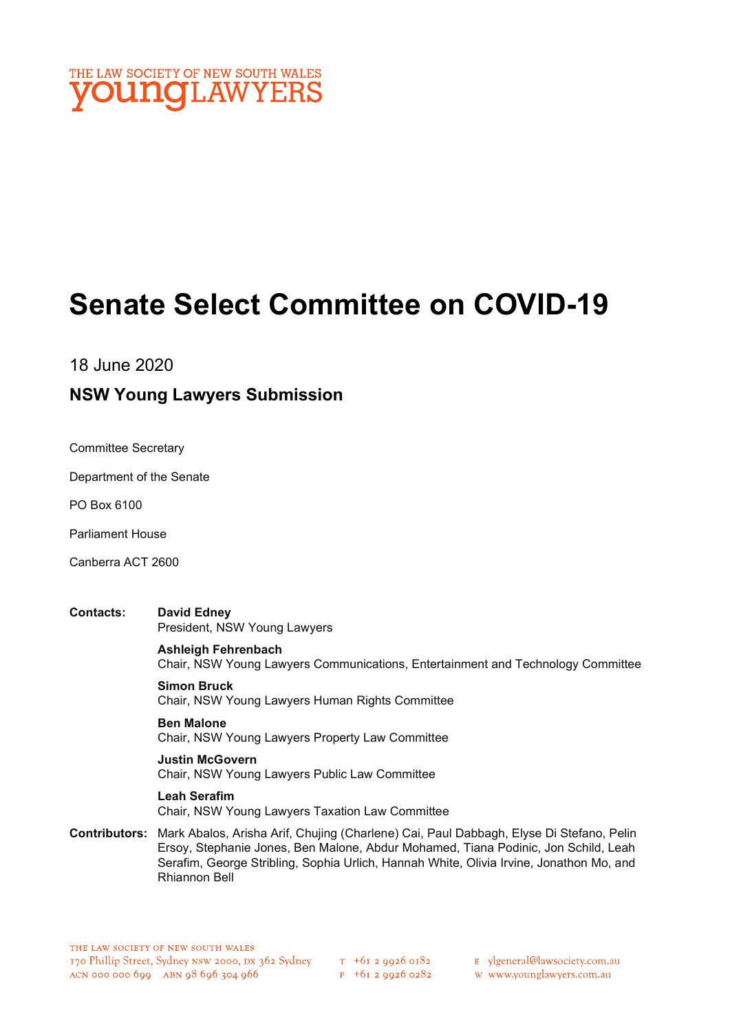

# Senate Select Committee on COVID-19

18 June 2020

### NSW Young Lawyers Submission

Committee Secretary

Department of the Senate

PO Box 6100

Parliament House

Canberra ACT 2600

Contacts: David Edney President, NSW Young Lawyers

> Ashleigh Fehrenbach Chair, NSW Young Lawyers Communications, Entertainment and Technology Committee

Simon Bruck Chair, NSW Young Lawyers Human Rights Committee

Ben Malone Chair, NSW Young Lawyers Property Law Committee

Justin McGovern Chair, NSW Young Lawyers Public Law Committee

Leah Serafim Chair, NSW Young Lawyers Taxation Law Committee

Contributors: Mark Abalos, Arisha Arif, Chujing (Charlene) Cai, Paul Dabbagh, Elyse Di Stefano, Pelin Ersoy, Stephanie Jones, Ben Malone, Abdur Mohamed, Tiana Podinic, Jon Schild, Leah Serafim, George Stribling, Sophia Urlich, Hannah White, Olivia Irvine, Jonathon Mo, and Rhiannon Bell

E ylgeneral@lawsociety.com.au

w www.younglawyers.com.au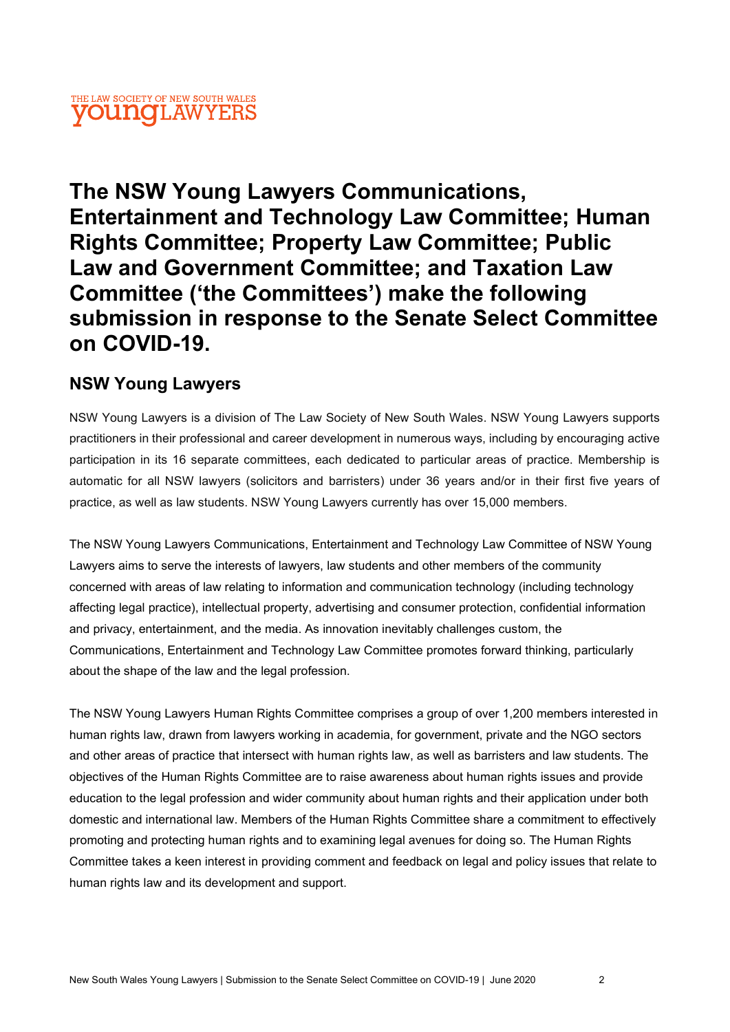#### THE LAW SOCIETY OF NEW SOUTH WALES **young** LAWYERS

The NSW Young Lawyers Communications, Entertainment and Technology Law Committee; Human Rights Committee; Property Law Committee; Public Law and Government Committee; and Taxation Law Committee ('the Committees') make the following submission in response to the Senate Select Committee on COVID-19.

### NSW Young Lawyers

NSW Young Lawyers is a division of The Law Society of New South Wales. NSW Young Lawyers supports practitioners in their professional and career development in numerous ways, including by encouraging active participation in its 16 separate committees, each dedicated to particular areas of practice. Membership is automatic for all NSW lawyers (solicitors and barristers) under 36 years and/or in their first five years of practice, as well as law students. NSW Young Lawyers currently has over 15,000 members.

The NSW Young Lawyers Communications, Entertainment and Technology Law Committee of NSW Young Lawyers aims to serve the interests of lawyers, law students and other members of the community concerned with areas of law relating to information and communication technology (including technology affecting legal practice), intellectual property, advertising and consumer protection, confidential information and privacy, entertainment, and the media. As innovation inevitably challenges custom, the Communications, Entertainment and Technology Law Committee promotes forward thinking, particularly about the shape of the law and the legal profession.

The NSW Young Lawyers Human Rights Committee comprises a group of over 1,200 members interested in human rights law, drawn from lawyers working in academia, for government, private and the NGO sectors and other areas of practice that intersect with human rights law, as well as barristers and law students. The objectives of the Human Rights Committee are to raise awareness about human rights issues and provide education to the legal profession and wider community about human rights and their application under both domestic and international law. Members of the Human Rights Committee share a commitment to effectively promoting and protecting human rights and to examining legal avenues for doing so. The Human Rights Committee takes a keen interest in providing comment and feedback on legal and policy issues that relate to human rights law and its development and support.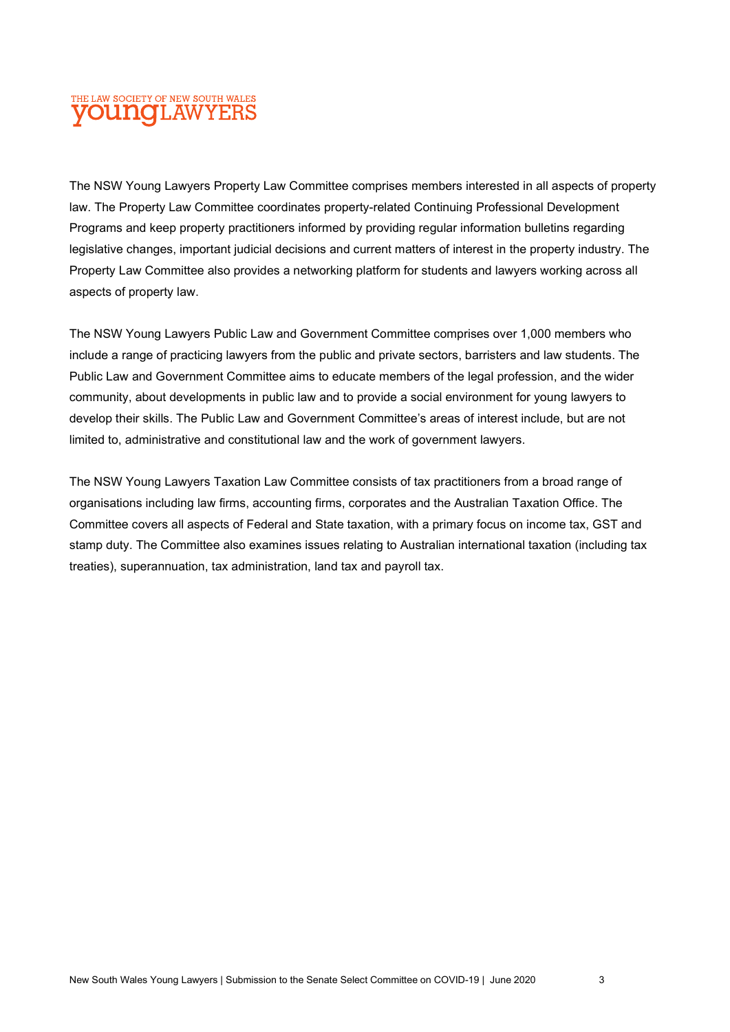The NSW Young Lawyers Property Law Committee comprises members interested in all aspects of property law. The Property Law Committee coordinates property-related Continuing Professional Development Programs and keep property practitioners informed by providing regular information bulletins regarding legislative changes, important judicial decisions and current matters of interest in the property industry. The Property Law Committee also provides a networking platform for students and lawyers working across all aspects of property law.

The NSW Young Lawyers Public Law and Government Committee comprises over 1,000 members who include a range of practicing lawyers from the public and private sectors, barristers and law students. The Public Law and Government Committee aims to educate members of the legal profession, and the wider community, about developments in public law and to provide a social environment for young lawyers to develop their skills. The Public Law and Government Committee's areas of interest include, but are not limited to, administrative and constitutional law and the work of government lawyers.

The NSW Young Lawyers Taxation Law Committee consists of tax practitioners from a broad range of organisations including law firms, accounting firms, corporates and the Australian Taxation Office. The Committee covers all aspects of Federal and State taxation, with a primary focus on income tax, GST and stamp duty. The Committee also examines issues relating to Australian international taxation (including tax treaties), superannuation, tax administration, land tax and payroll tax.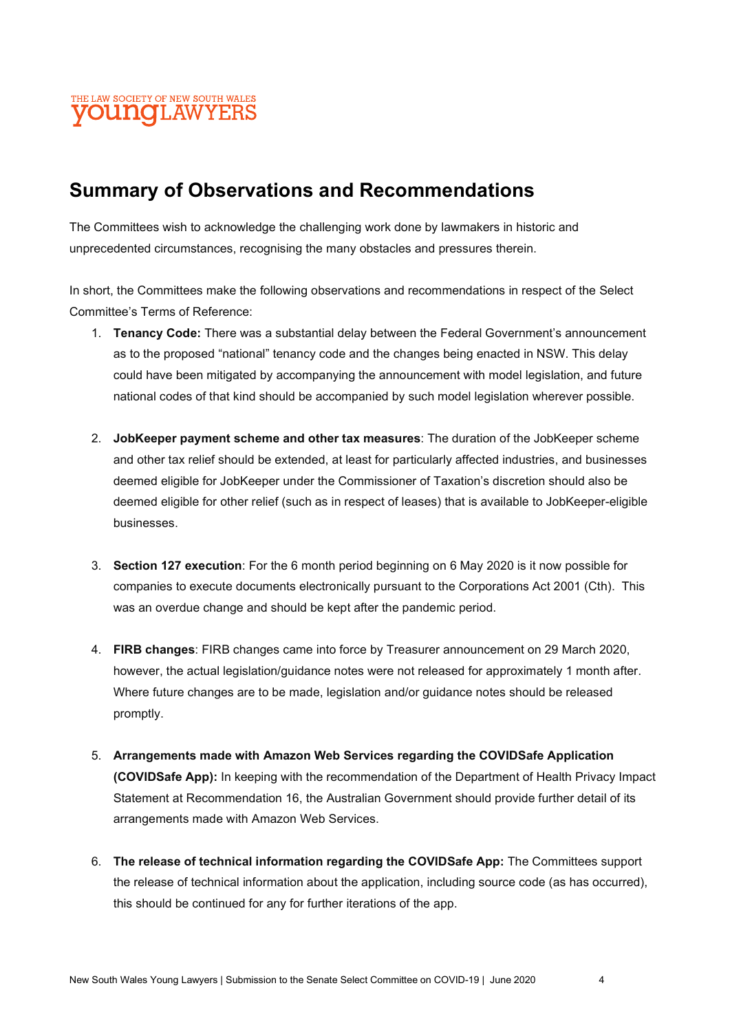

## Summary of Observations and Recommendations

The Committees wish to acknowledge the challenging work done by lawmakers in historic and unprecedented circumstances, recognising the many obstacles and pressures therein.

In short, the Committees make the following observations and recommendations in respect of the Select Committee's Terms of Reference:

- 1. **Tenancy Code:** There was a substantial delay between the Federal Government's announcement as to the proposed "national" tenancy code and the changes being enacted in NSW. This delay could have been mitigated by accompanying the announcement with model legislation, and future national codes of that kind should be accompanied by such model legislation wherever possible.
- 2. JobKeeper payment scheme and other tax measures: The duration of the JobKeeper scheme and other tax relief should be extended, at least for particularly affected industries, and businesses deemed eligible for JobKeeper under the Commissioner of Taxation's discretion should also be deemed eligible for other relief (such as in respect of leases) that is available to JobKeeper-eligible businesses.
- 3. Section 127 execution: For the 6 month period beginning on 6 May 2020 is it now possible for companies to execute documents electronically pursuant to the Corporations Act 2001 (Cth). This was an overdue change and should be kept after the pandemic period.
- 4. FIRB changes: FIRB changes came into force by Treasurer announcement on 29 March 2020, however, the actual legislation/guidance notes were not released for approximately 1 month after. Where future changes are to be made, legislation and/or guidance notes should be released promptly.
- 5. Arrangements made with Amazon Web Services regarding the COVIDSafe Application (COVIDSafe App): In keeping with the recommendation of the Department of Health Privacy Impact Statement at Recommendation 16, the Australian Government should provide further detail of its arrangements made with Amazon Web Services.
- 6. The release of technical information regarding the COVIDSafe App: The Committees support the release of technical information about the application, including source code (as has occurred), this should be continued for any for further iterations of the app.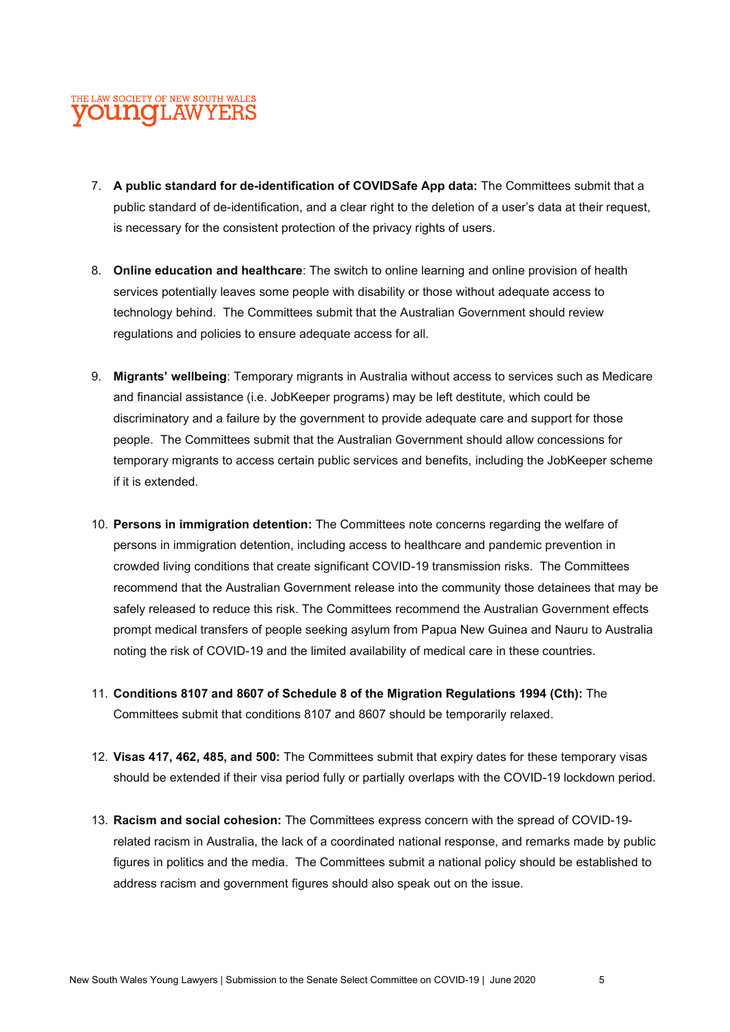- 7. A public standard for de-identification of COVIDSafe App data: The Committees submit that a public standard of de-identification, and a clear right to the deletion of a user's data at their request, is necessary for the consistent protection of the privacy rights of users.
- 8. Online education and healthcare: The switch to online learning and online provision of health services potentially leaves some people with disability or those without adequate access to technology behind. The Committees submit that the Australian Government should review regulations and policies to ensure adequate access for all.
- 9. Migrants' wellbeing: Temporary migrants in Australia without access to services such as Medicare and financial assistance (i.e. JobKeeper programs) may be left destitute, which could be discriminatory and a failure by the government to provide adequate care and support for those people. The Committees submit that the Australian Government should allow concessions for temporary migrants to access certain public services and benefits, including the JobKeeper scheme if it is extended.
- 10. Persons in immigration detention: The Committees note concerns regarding the welfare of persons in immigration detention, including access to healthcare and pandemic prevention in crowded living conditions that create significant COVID-19 transmission risks. The Committees recommend that the Australian Government release into the community those detainees that may be safely released to reduce this risk. The Committees recommend the Australian Government effects prompt medical transfers of people seeking asylum from Papua New Guinea and Nauru to Australia noting the risk of COVID-19 and the limited availability of medical care in these countries.
- 11. Conditions 8107 and 8607 of Schedule 8 of the Migration Regulations 1994 (Cth): The Committees submit that conditions 8107 and 8607 should be temporarily relaxed.
- 12. Visas 417, 462, 485, and 500: The Committees submit that expiry dates for these temporary visas should be extended if their visa period fully or partially overlaps with the COVID-19 lockdown period.
- 13. Racism and social cohesion: The Committees express concern with the spread of COVID-19 related racism in Australia, the lack of a coordinated national response, and remarks made by public figures in politics and the media. The Committees submit a national policy should be established to address racism and government figures should also speak out on the issue.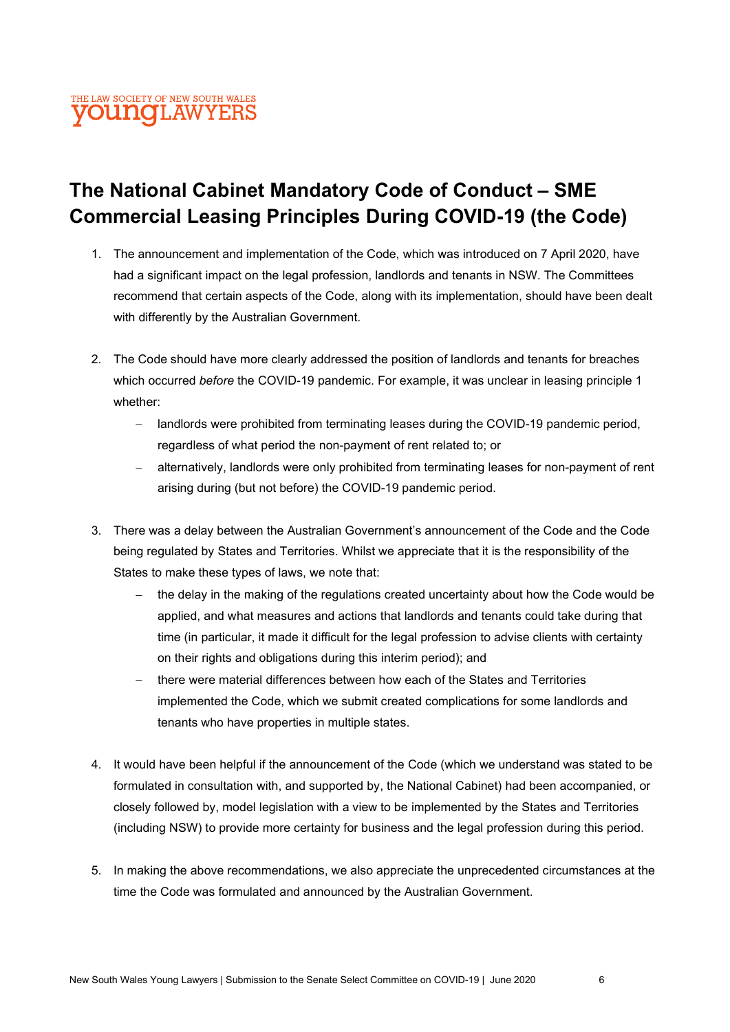## The National Cabinet Mandatory Code of Conduct – SME Commercial Leasing Principles During COVID-19 (the Code)

- 1. The announcement and implementation of the Code, which was introduced on 7 April 2020, have had a significant impact on the legal profession, landlords and tenants in NSW. The Committees recommend that certain aspects of the Code, along with its implementation, should have been dealt with differently by the Australian Government.
- 2. The Code should have more clearly addressed the position of landlords and tenants for breaches which occurred before the COVID-19 pandemic. For example, it was unclear in leasing principle 1 whether:
	- landlords were prohibited from terminating leases during the COVID-19 pandemic period, regardless of what period the non-payment of rent related to; or
	- alternatively, landlords were only prohibited from terminating leases for non-payment of rent arising during (but not before) the COVID-19 pandemic period.
- 3. There was a delay between the Australian Government's announcement of the Code and the Code being regulated by States and Territories. Whilst we appreciate that it is the responsibility of the States to make these types of laws, we note that:
	- the delay in the making of the regulations created uncertainty about how the Code would be applied, and what measures and actions that landlords and tenants could take during that time (in particular, it made it difficult for the legal profession to advise clients with certainty on their rights and obligations during this interim period); and
	- there were material differences between how each of the States and Territories implemented the Code, which we submit created complications for some landlords and tenants who have properties in multiple states.
- 4. It would have been helpful if the announcement of the Code (which we understand was stated to be formulated in consultation with, and supported by, the National Cabinet) had been accompanied, or closely followed by, model legislation with a view to be implemented by the States and Territories (including NSW) to provide more certainty for business and the legal profession during this period.
- 5. In making the above recommendations, we also appreciate the unprecedented circumstances at the time the Code was formulated and announced by the Australian Government.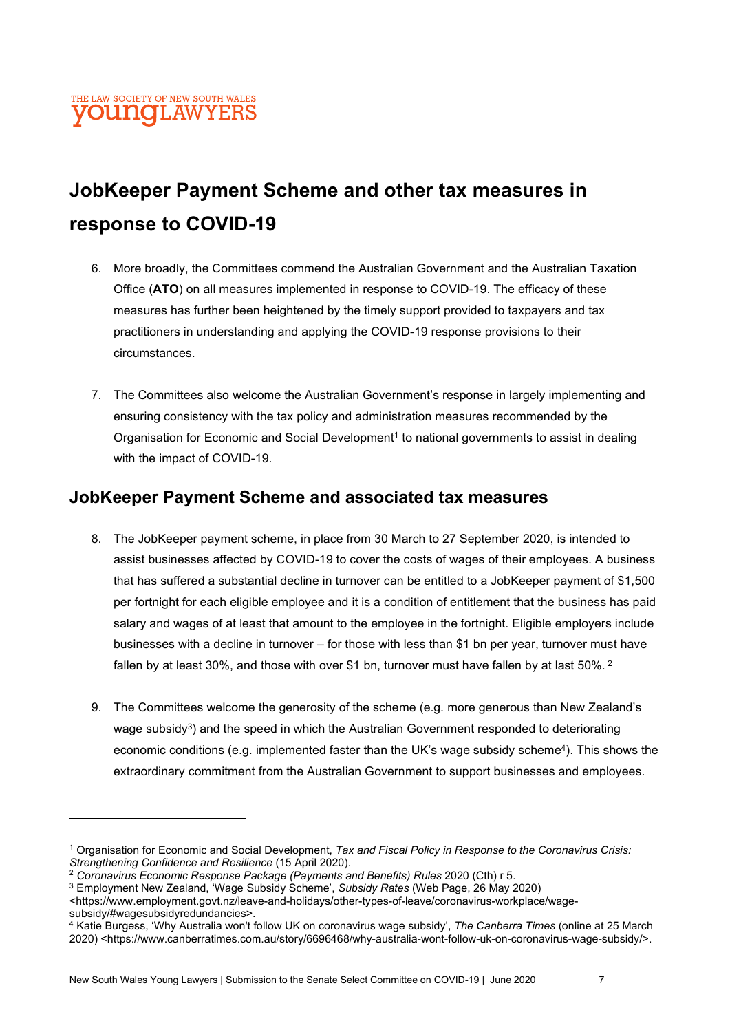## JobKeeper Payment Scheme and other tax measures in response to COVID-19

- 6. More broadly, the Committees commend the Australian Government and the Australian Taxation Office (ATO) on all measures implemented in response to COVID-19. The efficacy of these measures has further been heightened by the timely support provided to taxpayers and tax practitioners in understanding and applying the COVID-19 response provisions to their circumstances.
- 7. The Committees also welcome the Australian Government's response in largely implementing and ensuring consistency with the tax policy and administration measures recommended by the Organisation for Economic and Social Development<sup>1</sup> to national governments to assist in dealing with the impact of COVID-19.

### JobKeeper Payment Scheme and associated tax measures

- 8. The JobKeeper payment scheme, in place from 30 March to 27 September 2020, is intended to assist businesses affected by COVID-19 to cover the costs of wages of their employees. A business that has suffered a substantial decline in turnover can be entitled to a JobKeeper payment of \$1,500 per fortnight for each eligible employee and it is a condition of entitlement that the business has paid salary and wages of at least that amount to the employee in the fortnight. Eligible employers include businesses with a decline in turnover – for those with less than \$1 bn per year, turnover must have fallen by at least 30%, and those with over \$1 bn, turnover must have fallen by at last 50%.  $^2$
- 9. The Committees welcome the generosity of the scheme (e.g. more generous than New Zealand's wage subsidy<sup>3</sup>) and the speed in which the Australian Government responded to deteriorating economic conditions (e.g. implemented faster than the UK's wage subsidy scheme<sup>4</sup>). This shows the extraordinary commitment from the Australian Government to support businesses and employees.

<sup>&</sup>lt;sup>1</sup> Organisation for Economic and Social Development, Tax and Fiscal Policy in Response to the Coronavirus Crisis: Strengthening Confidence and Resilience (15 April 2020).

<sup>2</sup> Coronavirus Economic Response Package (Payments and Benefits) Rules 2020 (Cth) r 5.

<sup>&</sup>lt;sup>3</sup> Employment New Zealand, 'Wage Subsidy Scheme', Subsidy Rates (Web Page, 26 May 2020)

<sup>&</sup>lt;https://www.employment.govt.nz/leave-and-holidays/other-types-of-leave/coronavirus-workplace/wagesubsidy/#wagesubsidyredundancies>.

<sup>&</sup>lt;sup>4</sup> Katie Burgess, 'Why Australia won't follow UK on coronavirus wage subsidy', *The Canberra Times* (online at 25 March 2020) <https://www.canberratimes.com.au/story/6696468/why-australia-wont-follow-uk-on-coronavirus-wage-subsidy/>.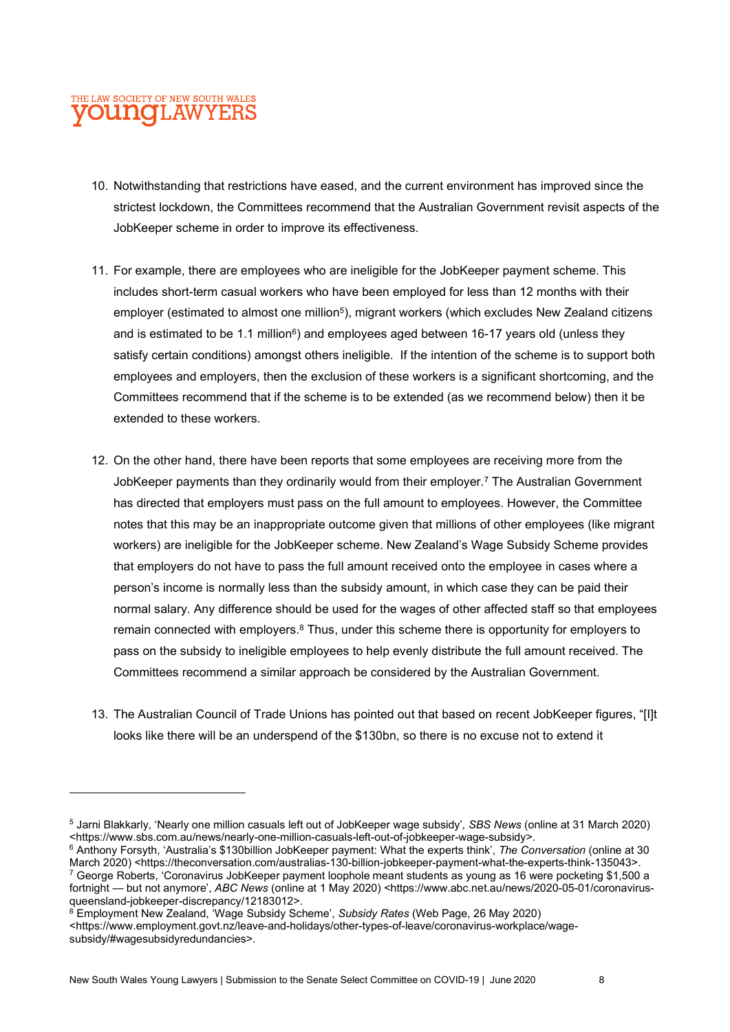- 10. Notwithstanding that restrictions have eased, and the current environment has improved since the strictest lockdown, the Committees recommend that the Australian Government revisit aspects of the JobKeeper scheme in order to improve its effectiveness.
- 11. For example, there are employees who are ineligible for the JobKeeper payment scheme. This includes short-term casual workers who have been employed for less than 12 months with their employer (estimated to almost one million<sup>5</sup>), migrant workers (which excludes New Zealand citizens and is estimated to be 1.1 million $6$ ) and employees aged between 16-17 years old (unless they satisfy certain conditions) amongst others ineligible. If the intention of the scheme is to support both employees and employers, then the exclusion of these workers is a significant shortcoming, and the Committees recommend that if the scheme is to be extended (as we recommend below) then it be extended to these workers.
- 12. On the other hand, there have been reports that some employees are receiving more from the JobKeeper payments than they ordinarily would from their employer.<sup>7</sup> The Australian Government has directed that employers must pass on the full amount to employees. However, the Committee notes that this may be an inappropriate outcome given that millions of other employees (like migrant workers) are ineligible for the JobKeeper scheme. New Zealand's Wage Subsidy Scheme provides that employers do not have to pass the full amount received onto the employee in cases where a person's income is normally less than the subsidy amount, in which case they can be paid their normal salary. Any difference should be used for the wages of other affected staff so that employees remain connected with employers.<sup>8</sup> Thus, under this scheme there is opportunity for employers to pass on the subsidy to ineligible employees to help evenly distribute the full amount received. The Committees recommend a similar approach be considered by the Australian Government.
- 13. The Australian Council of Trade Unions has pointed out that based on recent JobKeeper figures, "[I]t looks like there will be an underspend of the \$130bn, so there is no excuse not to extend it

New South Wales Young Lawyers | Submission to the Senate Select Committee on COVID-19 | June 2020 8

<sup>5</sup> Jarni Blakkarly, 'Nearly one million casuals left out of JobKeeper wage subsidy', SBS News (online at 31 March 2020) <https://www.sbs.com.au/news/nearly-one-million-casuals-left-out-of-jobkeeper-wage-subsidy>.

<sup>&</sup>lt;sup>6</sup> Anthony Forsyth, 'Australia's \$130billion JobKeeper payment: What the experts think', The Conversation (online at 30 March 2020) <https://theconversation.com/australias-130-billion-jobkeeper-payment-what-the-experts-think-135043>. 7 George Roberts, 'Coronavirus JobKeeper payment loophole meant students as young as 16 were pocketing \$1,500 a fortnight — but not anymore', ABC News (online at 1 May 2020) <https://www.abc.net.au/news/2020-05-01/coronavirusqueensland-jobkeeper-discrepancy/12183012>.

<sup>&</sup>lt;sup>8</sup> Employment New Zealand, 'Wage Subsidy Scheme', Subsidy Rates (Web Page, 26 May 2020) <https://www.employment.govt.nz/leave-and-holidays/other-types-of-leave/coronavirus-workplace/wagesubsidy/#wagesubsidyredundancies>.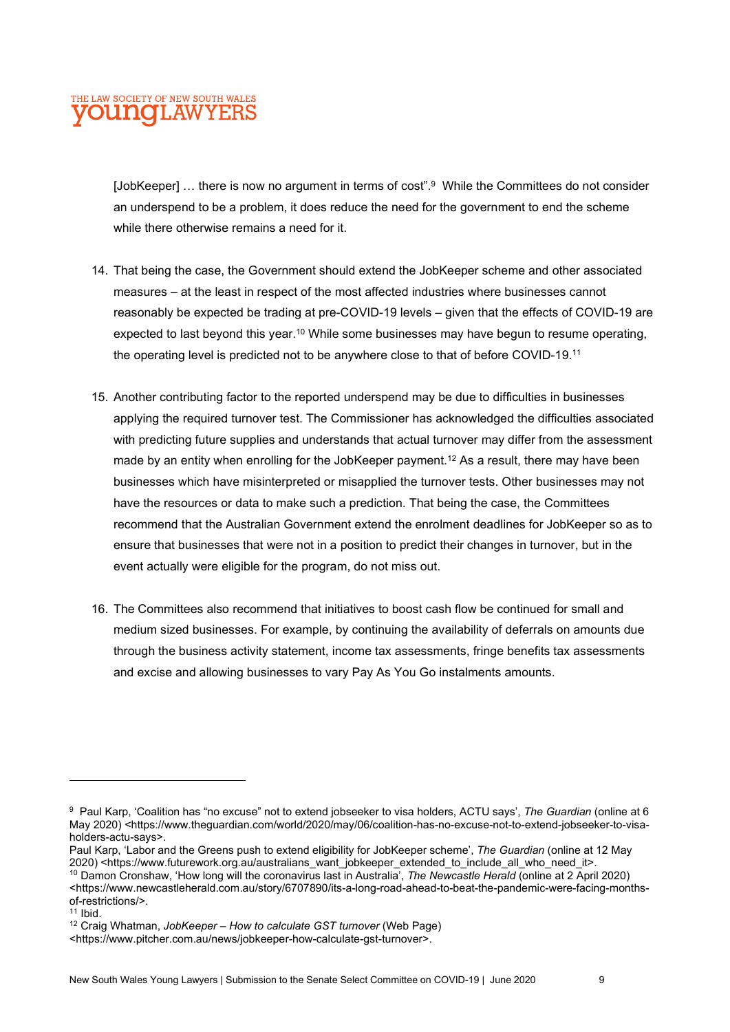[JobKeeper] … there is now no argument in terms of cost".<sup>9</sup> While the Committees do not consider an underspend to be a problem, it does reduce the need for the government to end the scheme while there otherwise remains a need for it.

- 14. That being the case, the Government should extend the JobKeeper scheme and other associated measures – at the least in respect of the most affected industries where businesses cannot reasonably be expected be trading at pre-COVID-19 levels – given that the effects of COVID-19 are expected to last beyond this year.<sup>10</sup> While some businesses may have begun to resume operating, the operating level is predicted not to be anywhere close to that of before COVID-19.<sup>11</sup>
- 15. Another contributing factor to the reported underspend may be due to difficulties in businesses applying the required turnover test. The Commissioner has acknowledged the difficulties associated with predicting future supplies and understands that actual turnover may differ from the assessment made by an entity when enrolling for the JobKeeper payment.<sup>12</sup> As a result, there may have been businesses which have misinterpreted or misapplied the turnover tests. Other businesses may not have the resources or data to make such a prediction. That being the case, the Committees recommend that the Australian Government extend the enrolment deadlines for JobKeeper so as to ensure that businesses that were not in a position to predict their changes in turnover, but in the event actually were eligible for the program, do not miss out.
- 16. The Committees also recommend that initiatives to boost cash flow be continued for small and medium sized businesses. For example, by continuing the availability of deferrals on amounts due through the business activity statement, income tax assessments, fringe benefits tax assessments and excise and allowing businesses to vary Pay As You Go instalments amounts.

Paul Karp, 'Labor and the Greens push to extend eligibility for JobKeeper scheme', The Guardian (online at 12 May 2020) <https://www.futurework.org.au/australians\_want\_jobkeeper\_extended\_to\_include\_all\_who\_need\_it>.

<sup>&</sup>lt;sup>9</sup> Paul Karp, 'Coalition has "no excuse" not to extend jobseeker to visa holders, ACTU says', The Guardian (online at 6 May 2020) <https://www.theguardian.com/world/2020/may/06/coalition-has-no-excuse-not-to-extend-jobseeker-to-visaholders-actu-says>.

<sup>&</sup>lt;sup>10</sup> Damon Cronshaw, 'How long will the coronavirus last in Australia', The Newcastle Herald (online at 2 April 2020) <https://www.newcastleherald.com.au/story/6707890/its-a-long-road-ahead-to-beat-the-pandemic-were-facing-monthsof-restrictions/>.

 $11$  Ibid.

<sup>&</sup>lt;sup>12</sup> Craig Whatman, JobKeeper – How to calculate GST turnover (Web Page)

<sup>&</sup>lt;https://www.pitcher.com.au/news/jobkeeper-how-calculate-gst-turnover>.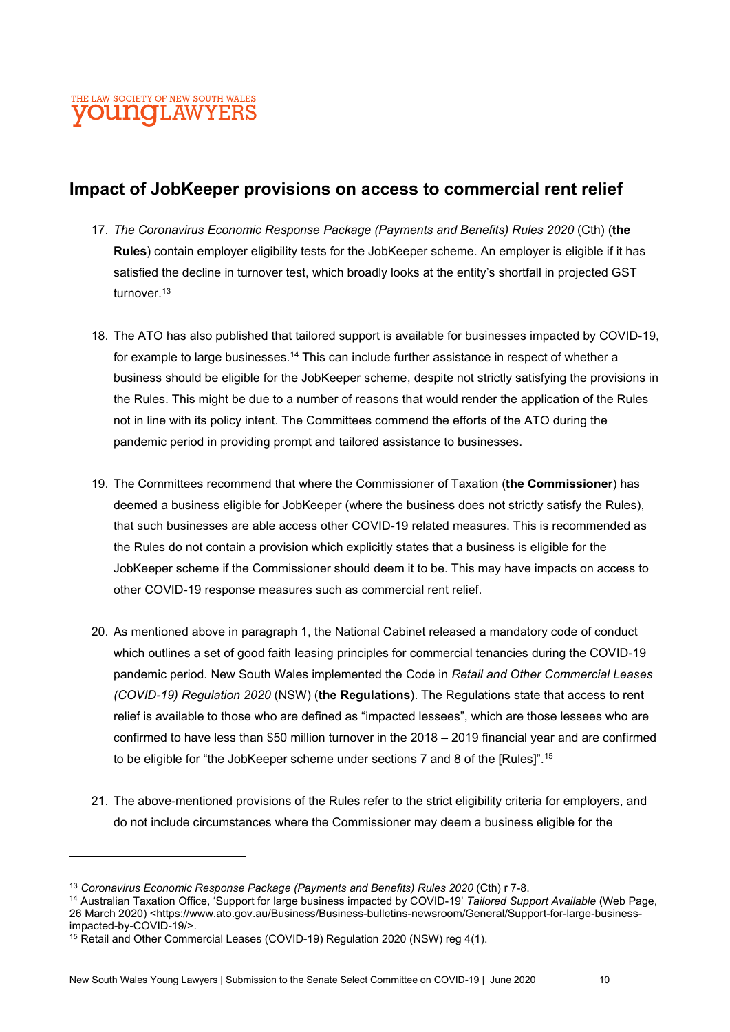### Impact of JobKeeper provisions on access to commercial rent relief

- 17. The Coronavirus Economic Response Package (Payments and Benefits) Rules 2020 (Cth) (the Rules) contain employer eligibility tests for the JobKeeper scheme. An employer is eligible if it has satisfied the decline in turnover test, which broadly looks at the entity's shortfall in projected GST turnover<sup>13</sup>
- 18. The ATO has also published that tailored support is available for businesses impacted by COVID-19, for example to large businesses.<sup>14</sup> This can include further assistance in respect of whether a business should be eligible for the JobKeeper scheme, despite not strictly satisfying the provisions in the Rules. This might be due to a number of reasons that would render the application of the Rules not in line with its policy intent. The Committees commend the efforts of the ATO during the pandemic period in providing prompt and tailored assistance to businesses.
- 19. The Committees recommend that where the Commissioner of Taxation (the Commissioner) has deemed a business eligible for JobKeeper (where the business does not strictly satisfy the Rules), that such businesses are able access other COVID-19 related measures. This is recommended as the Rules do not contain a provision which explicitly states that a business is eligible for the JobKeeper scheme if the Commissioner should deem it to be. This may have impacts on access to other COVID-19 response measures such as commercial rent relief.
- 20. As mentioned above in paragraph 1, the National Cabinet released a mandatory code of conduct which outlines a set of good faith leasing principles for commercial tenancies during the COVID-19 pandemic period. New South Wales implemented the Code in Retail and Other Commercial Leases (COVID-19) Regulation 2020 (NSW) (the Regulations). The Regulations state that access to rent relief is available to those who are defined as "impacted lessees", which are those lessees who are confirmed to have less than \$50 million turnover in the 2018 – 2019 financial year and are confirmed to be eligible for "the JobKeeper scheme under sections 7 and 8 of the [Rules]".<sup>15</sup>
- 21. The above-mentioned provisions of the Rules refer to the strict eligibility criteria for employers, and do not include circumstances where the Commissioner may deem a business eligible for the

<sup>14</sup> Australian Taxation Office, 'Support for large business impacted by COVID-19' Tailored Support Available (Web Page, 26 March 2020) <https://www.ato.gov.au/Business/Business-bulletins-newsroom/General/Support-for-large-businessimpacted-by-COVID-19/>.

<sup>&</sup>lt;sup>13</sup> Coronavirus Economic Response Package (Payments and Benefits) Rules 2020 (Cth) r 7-8.

<sup>15</sup> Retail and Other Commercial Leases (COVID-19) Regulation 2020 (NSW) reg 4(1).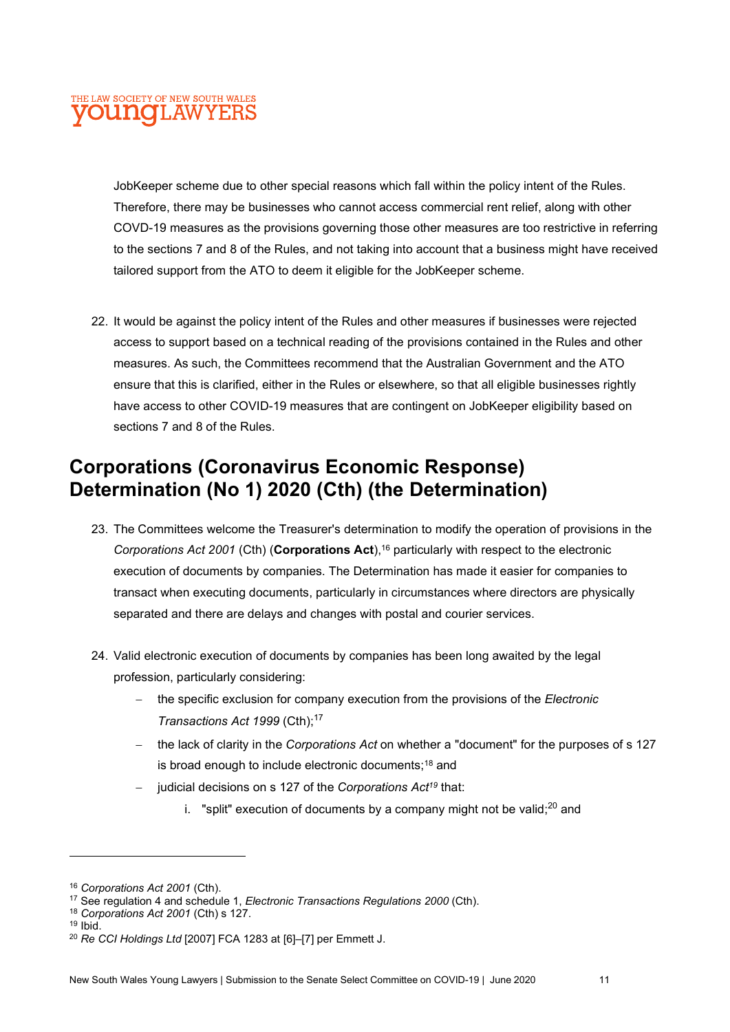JobKeeper scheme due to other special reasons which fall within the policy intent of the Rules. Therefore, there may be businesses who cannot access commercial rent relief, along with other COVD-19 measures as the provisions governing those other measures are too restrictive in referring to the sections 7 and 8 of the Rules, and not taking into account that a business might have received tailored support from the ATO to deem it eligible for the JobKeeper scheme.

22. It would be against the policy intent of the Rules and other measures if businesses were rejected access to support based on a technical reading of the provisions contained in the Rules and other measures. As such, the Committees recommend that the Australian Government and the ATO ensure that this is clarified, either in the Rules or elsewhere, so that all eligible businesses rightly have access to other COVID-19 measures that are contingent on JobKeeper eligibility based on sections 7 and 8 of the Rules.

## Corporations (Coronavirus Economic Response) Determination (No 1) 2020 (Cth) (the Determination)

- 23. The Committees welcome the Treasurer's determination to modify the operation of provisions in the Corporations Act 2001 (Cth) (Corporations Act),  $16$  particularly with respect to the electronic execution of documents by companies. The Determination has made it easier for companies to transact when executing documents, particularly in circumstances where directors are physically separated and there are delays and changes with postal and courier services.
- 24. Valid electronic execution of documents by companies has been long awaited by the legal profession, particularly considering:
	- the specific exclusion for company execution from the provisions of the Electronic Transactions Act 1999 (Cth):<sup>17</sup>
	- the lack of clarity in the Corporations Act on whether a "document" for the purposes of s 127 is broad enough to include electronic documents;<sup>18</sup> and
	- judicial decisions on s 127 of the Corporations Act<sup>19</sup> that:
		- i. "split" execution of documents by a company might not be valid; $^{20}$  and

<sup>18</sup> Corporations Act 2001 (Cth) s 127.

<sup>&</sup>lt;sup>16</sup> Corporations Act 2001 (Cth).

<sup>&</sup>lt;sup>17</sup> See regulation 4 and schedule 1, Electronic Transactions Regulations 2000 (Cth).

 $19$  Ibid.

<sup>20</sup> Re CCI Holdings Ltd [2007] FCA 1283 at [6]–[7] per Emmett J.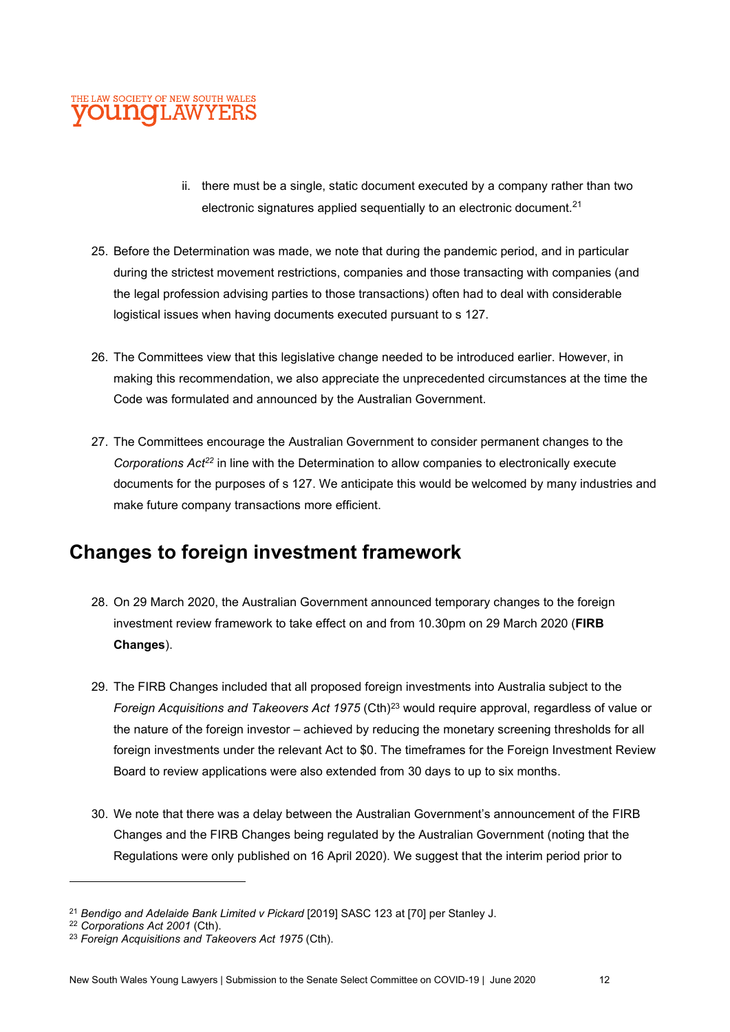

- ii. there must be a single, static document executed by a company rather than two electronic signatures applied sequentially to an electronic document. $21$
- 25. Before the Determination was made, we note that during the pandemic period, and in particular during the strictest movement restrictions, companies and those transacting with companies (and the legal profession advising parties to those transactions) often had to deal with considerable logistical issues when having documents executed pursuant to s 127.
- 26. The Committees view that this legislative change needed to be introduced earlier. However, in making this recommendation, we also appreciate the unprecedented circumstances at the time the Code was formulated and announced by the Australian Government.
- 27. The Committees encourage the Australian Government to consider permanent changes to the Corporations  $Act^{22}$  in line with the Determination to allow companies to electronically execute documents for the purposes of s 127. We anticipate this would be welcomed by many industries and make future company transactions more efficient.

## Changes to foreign investment framework

- 28. On 29 March 2020, the Australian Government announced temporary changes to the foreign investment review framework to take effect on and from 10.30pm on 29 March 2020 (FIRB Changes).
- 29. The FIRB Changes included that all proposed foreign investments into Australia subject to the Foreign Acquisitions and Takeovers Act 1975 (Cth)<sup>23</sup> would require approval, regardless of value or the nature of the foreign investor – achieved by reducing the monetary screening thresholds for all foreign investments under the relevant Act to \$0. The timeframes for the Foreign Investment Review Board to review applications were also extended from 30 days to up to six months.
- 30. We note that there was a delay between the Australian Government's announcement of the FIRB Changes and the FIRB Changes being regulated by the Australian Government (noting that the Regulations were only published on 16 April 2020). We suggest that the interim period prior to

<sup>&</sup>lt;sup>21</sup> Bendigo and Adelaide Bank Limited v Pickard [2019] SASC 123 at [70] per Stanley J.

<sup>22</sup> Corporations Act 2001 (Cth).

<sup>&</sup>lt;sup>23</sup> Foreign Acquisitions and Takeovers Act 1975 (Cth).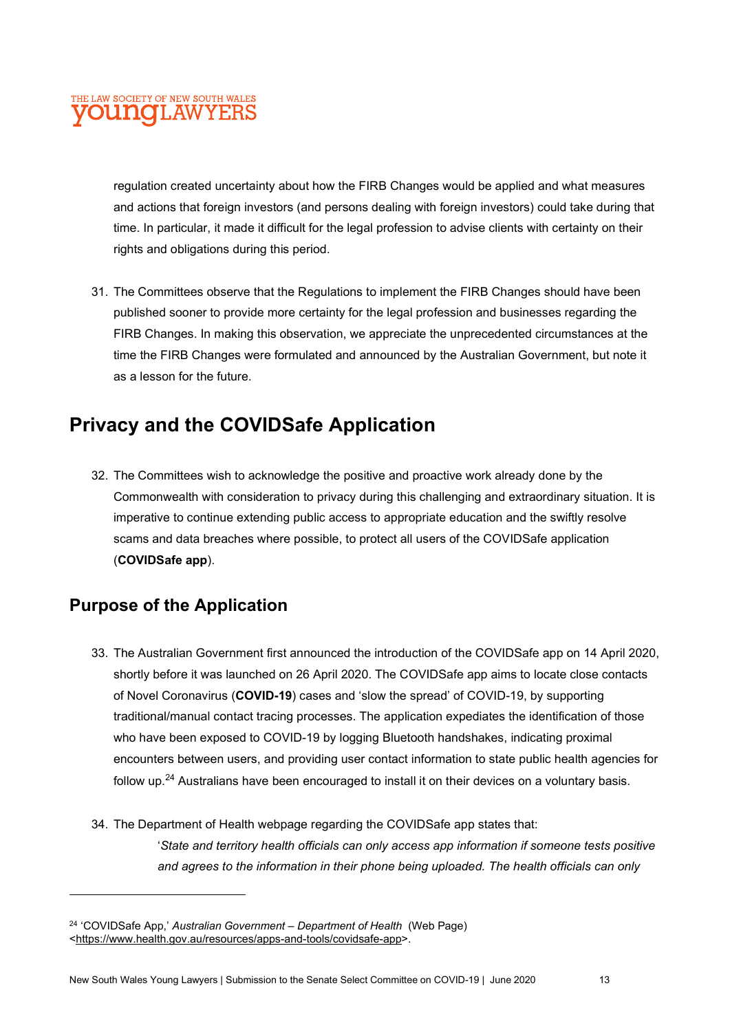regulation created uncertainty about how the FIRB Changes would be applied and what measures and actions that foreign investors (and persons dealing with foreign investors) could take during that time. In particular, it made it difficult for the legal profession to advise clients with certainty on their rights and obligations during this period.

31. The Committees observe that the Regulations to implement the FIRB Changes should have been published sooner to provide more certainty for the legal profession and businesses regarding the FIRB Changes. In making this observation, we appreciate the unprecedented circumstances at the time the FIRB Changes were formulated and announced by the Australian Government, but note it as a lesson for the future.

## Privacy and the COVIDSafe Application

32. The Committees wish to acknowledge the positive and proactive work already done by the Commonwealth with consideration to privacy during this challenging and extraordinary situation. It is imperative to continue extending public access to appropriate education and the swiftly resolve scams and data breaches where possible, to protect all users of the COVIDSafe application (COVIDSafe app).

## Purpose of the Application

- 33. The Australian Government first announced the introduction of the COVIDSafe app on 14 April 2020, shortly before it was launched on 26 April 2020. The COVIDSafe app aims to locate close contacts of Novel Coronavirus (COVID-19) cases and 'slow the spread' of COVID-19, by supporting traditional/manual contact tracing processes. The application expediates the identification of those who have been exposed to COVID-19 by logging Bluetooth handshakes, indicating proximal encounters between users, and providing user contact information to state public health agencies for follow up.<sup>24</sup> Australians have been encouraged to install it on their devices on a voluntary basis.
- 34. The Department of Health webpage regarding the COVIDSafe app states that: 'State and territory health officials can only access app information if someone tests positive and agrees to the information in their phone being uploaded. The health officials can only

<sup>&</sup>lt;sup>24</sup> 'COVIDSafe App,' Australian Government – Department of Health (Web Page) <https://www.health.gov.au/resources/apps-and-tools/covidsafe-app>.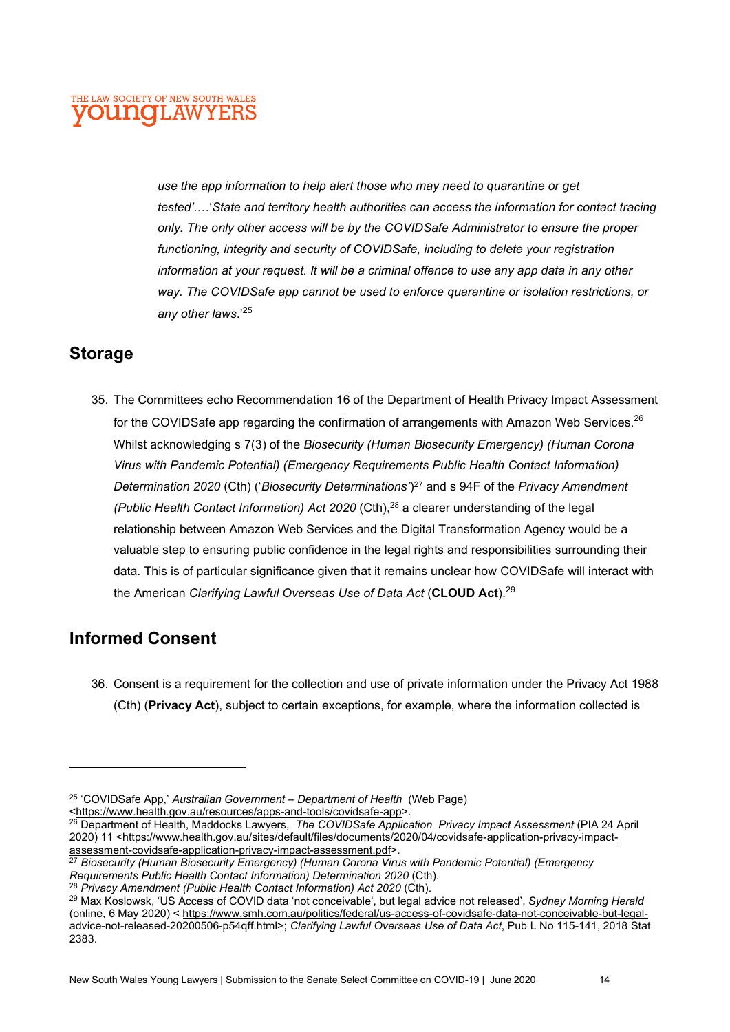use the app information to help alert those who may need to quarantine or get tested'.…'State and territory health authorities can access the information for contact tracing only. The only other access will be by the COVIDSafe Administrator to ensure the proper functioning, integrity and security of COVIDSafe, including to delete your registration information at your request. It will be a criminal offence to use any app data in any other way. The COVIDSafe app cannot be used to enforce quarantine or isolation restrictions, or any other laws.'<sup>25</sup>

## Storage

35. The Committees echo Recommendation 16 of the Department of Health Privacy Impact Assessment for the COVIDSafe app regarding the confirmation of arrangements with Amazon Web Services.<sup>26</sup> Whilst acknowledging s 7(3) of the Biosecurity (Human Biosecurity Emergency) (Human Corona Virus with Pandemic Potential) (Emergency Requirements Public Health Contact Information) Determination 2020 (Cth) ('Biosecurity Determinations')<sup>27</sup> and s 94F of the Privacy Amendment (Public Health Contact Information) Act 2020 (Cth),<sup>28</sup> a clearer understanding of the legal relationship between Amazon Web Services and the Digital Transformation Agency would be a valuable step to ensuring public confidence in the legal rights and responsibilities surrounding their data. This is of particular significance given that it remains unclear how COVIDSafe will interact with the American Clarifying Lawful Overseas Use of Data Act (CLOUD Act).<sup>29</sup>

## Informed Consent

36. Consent is a requirement for the collection and use of private information under the Privacy Act 1988 (Cth) (Privacy Act), subject to certain exceptions, for example, where the information collected is

 $25$  'COVIDSafe App,' Australian Government – Department of Health (Web Page) <https://www.health.gov.au/resources/apps-and-tools/covidsafe-app>.

<sup>&</sup>lt;sup>26</sup> Department of Health, Maddocks Lawyers, The COVIDSafe Application Privacy Impact Assessment (PIA 24 April 2020) 11 <https://www.health.gov.au/sites/default/files/documents/2020/04/covidsafe-application-privacy-impactassessment-covidsafe-application-privacy-impact-assessment.pdf>.

<sup>&</sup>lt;sup>27</sup> Biosecurity (Human Biosecurity Emergency) (Human Corona Virus with Pandemic Potential) (Emergency Requirements Public Health Contact Information) Determination 2020 (Cth).

<sup>&</sup>lt;sup>28</sup> Privacy Amendment (Public Health Contact Information) Act 2020 (Cth).

<sup>&</sup>lt;sup>29</sup> Max Koslowsk, 'US Access of COVID data 'not conceivable', but legal advice not released', Sydney Morning Herald (online, 6 May 2020) < https://www.smh.com.au/politics/federal/us-access-of-covidsafe-data-not-conceivable-but-legaladvice-not-released-20200506-p54qff.html>; Clarifying Lawful Overseas Use of Data Act, Pub L No 115-141, 2018 Stat 2383.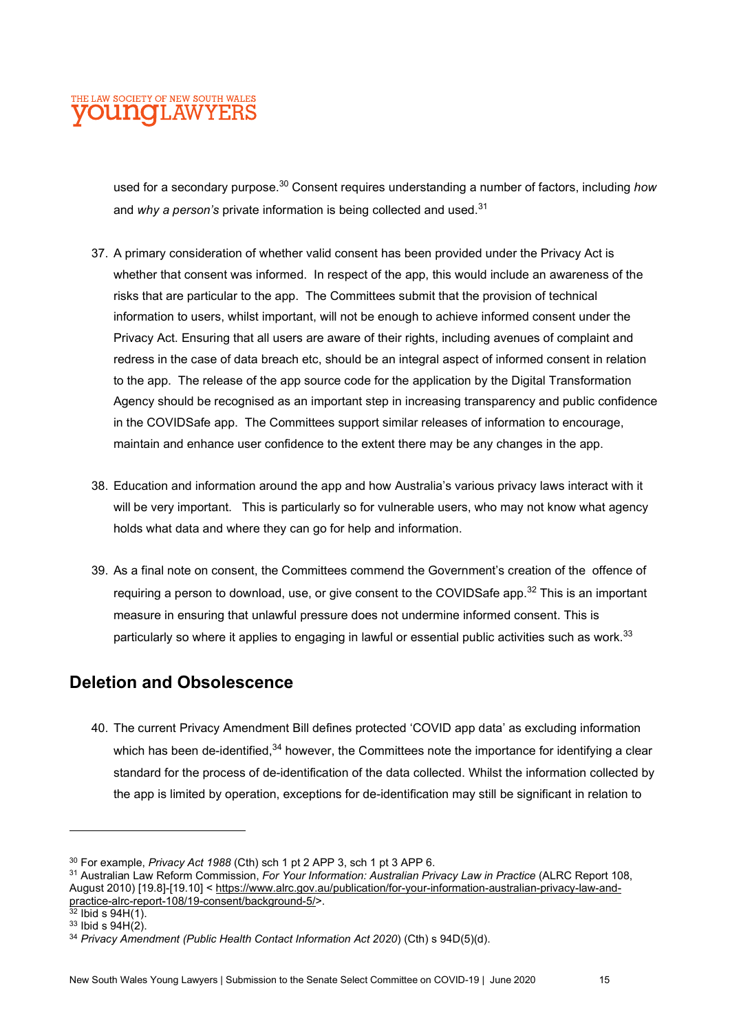used for a secondary purpose. $30$  Consent requires understanding a number of factors, including how and why a person's private information is being collected and used.<sup>31</sup>

- 37. A primary consideration of whether valid consent has been provided under the Privacy Act is whether that consent was informed. In respect of the app, this would include an awareness of the risks that are particular to the app. The Committees submit that the provision of technical information to users, whilst important, will not be enough to achieve informed consent under the Privacy Act. Ensuring that all users are aware of their rights, including avenues of complaint and redress in the case of data breach etc, should be an integral aspect of informed consent in relation to the app. The release of the app source code for the application by the Digital Transformation Agency should be recognised as an important step in increasing transparency and public confidence in the COVIDSafe app. The Committees support similar releases of information to encourage, maintain and enhance user confidence to the extent there may be any changes in the app.
- 38. Education and information around the app and how Australia's various privacy laws interact with it will be very important. This is particularly so for vulnerable users, who may not know what agency holds what data and where they can go for help and information.
- 39. As a final note on consent, the Committees commend the Government's creation of the offence of requiring a person to download, use, or give consent to the COVIDSafe app.<sup>32</sup> This is an important measure in ensuring that unlawful pressure does not undermine informed consent. This is particularly so where it applies to engaging in lawful or essential public activities such as work.<sup>33</sup>

## Deletion and Obsolescence

40. The current Privacy Amendment Bill defines protected 'COVID app data' as excluding information which has been de-identified,<sup>34</sup> however, the Committees note the importance for identifying a clear standard for the process of de-identification of the data collected. Whilst the information collected by the app is limited by operation, exceptions for de-identification may still be significant in relation to

<sup>&</sup>lt;sup>30</sup> For example, Privacy Act 1988 (Cth) sch 1 pt 2 APP 3, sch 1 pt 3 APP 6.

<sup>&</sup>lt;sup>31</sup> Australian Law Reform Commission, For Your Information: Australian Privacy Law in Practice (ALRC Report 108, August 2010) [19.8]-[19.10] < https://www.alrc.gov.au/publication/for-your-information-australian-privacy-law-andpractice-alrc-report-108/19-consent/background-5/>.

 $32$  Ibid s  $94H(1)$ .

 $33$  Ibid s  $94H(2)$ .

<sup>&</sup>lt;sup>34</sup> Privacy Amendment (Public Health Contact Information Act 2020) (Cth) s 94D(5)(d).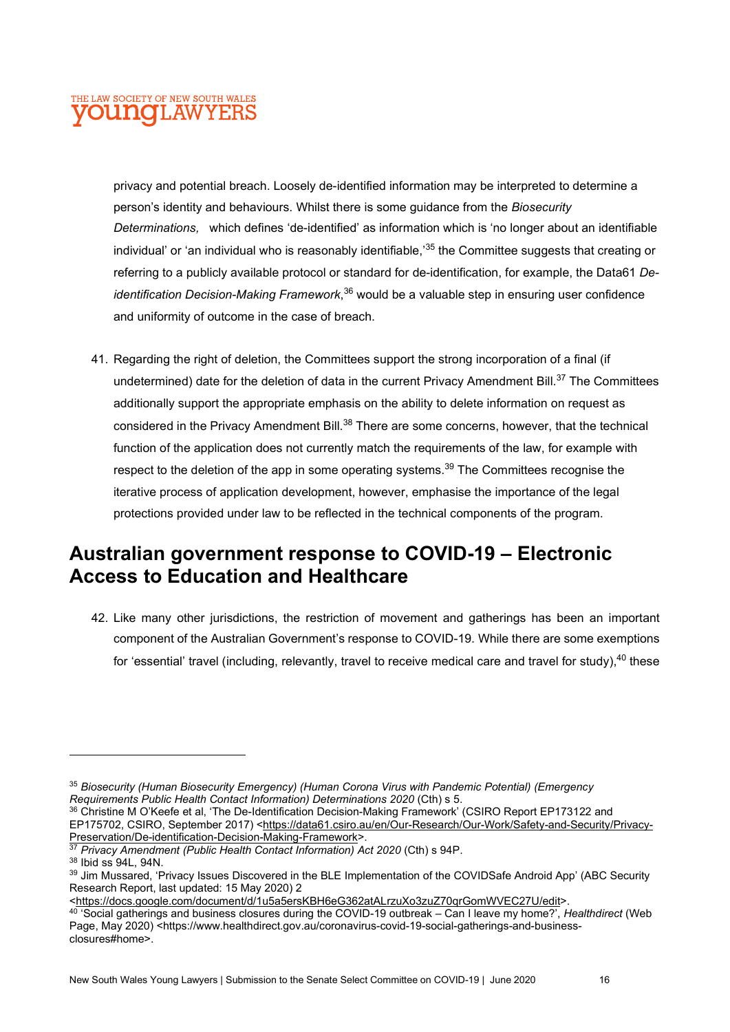privacy and potential breach. Loosely de-identified information may be interpreted to determine a person's identity and behaviours. Whilst there is some guidance from the Biosecurity Determinations, which defines 'de-identified' as information which is 'no longer about an identifiable individual' or 'an individual who is reasonably identifiable,<sup>35</sup> the Committee suggests that creating or referring to a publicly available protocol or standard for de-identification, for example, the Data61 Deidentification Decision-Making Framework,<sup>36</sup> would be a valuable step in ensuring user confidence and uniformity of outcome in the case of breach.

41. Regarding the right of deletion, the Committees support the strong incorporation of a final (if undetermined) date for the deletion of data in the current Privacy Amendment Bill.<sup>37</sup> The Committees additionally support the appropriate emphasis on the ability to delete information on request as considered in the Privacy Amendment Bill.<sup>38</sup> There are some concerns, however, that the technical function of the application does not currently match the requirements of the law, for example with respect to the deletion of the app in some operating systems.<sup>39</sup> The Committees recognise the iterative process of application development, however, emphasise the importance of the legal protections provided under law to be reflected in the technical components of the program.

## Australian government response to COVID-19 – Electronic Access to Education and Healthcare

42. Like many other jurisdictions, the restriction of movement and gatherings has been an important component of the Australian Government's response to COVID-19. While there are some exemptions for 'essential' travel (including, relevantly, travel to receive medical care and travel for study),  $40$  these

<sup>&</sup>lt;sup>35</sup> Biosecurity (Human Biosecurity Emergency) (Human Corona Virus with Pandemic Potential) (Emergency Requirements Public Health Contact Information) Determinations 2020 (Cth) s 5.

<sup>36</sup> Christine M O'Keefe et al, 'The De-Identification Decision-Making Framework' (CSIRO Report EP173122 and EP175702, CSIRO, September 2017) <https://data61.csiro.au/en/Our-Research/Our-Work/Safety-and-Security/Privacy-Preservation/De-identification-Decision-Making-Framework>.

<sup>&</sup>lt;sup>37</sup> Privacy Amendment (Public Health Contact Information) Act 2020 (Cth) s 94P.

<sup>38</sup> Ibid ss 94L, 94N.

<sup>39</sup> Jim Mussared, 'Privacy Issues Discovered in the BLE Implementation of the COVIDSafe Android App' (ABC Security Research Report, last updated: 15 May 2020) 2

<sup>&</sup>lt;https://docs.google.com/document/d/1u5a5ersKBH6eG362atALrzuXo3zuZ70qrGomWVEC27U/edit>.

<sup>&</sup>lt;sup>40</sup> 'Social gatherings and business closures during the COVID-19 outbreak – Can I leave my home?', Healthdirect (Web Page, May 2020) <https://www.healthdirect.gov.au/coronavirus-covid-19-social-gatherings-and-businessclosures#home>.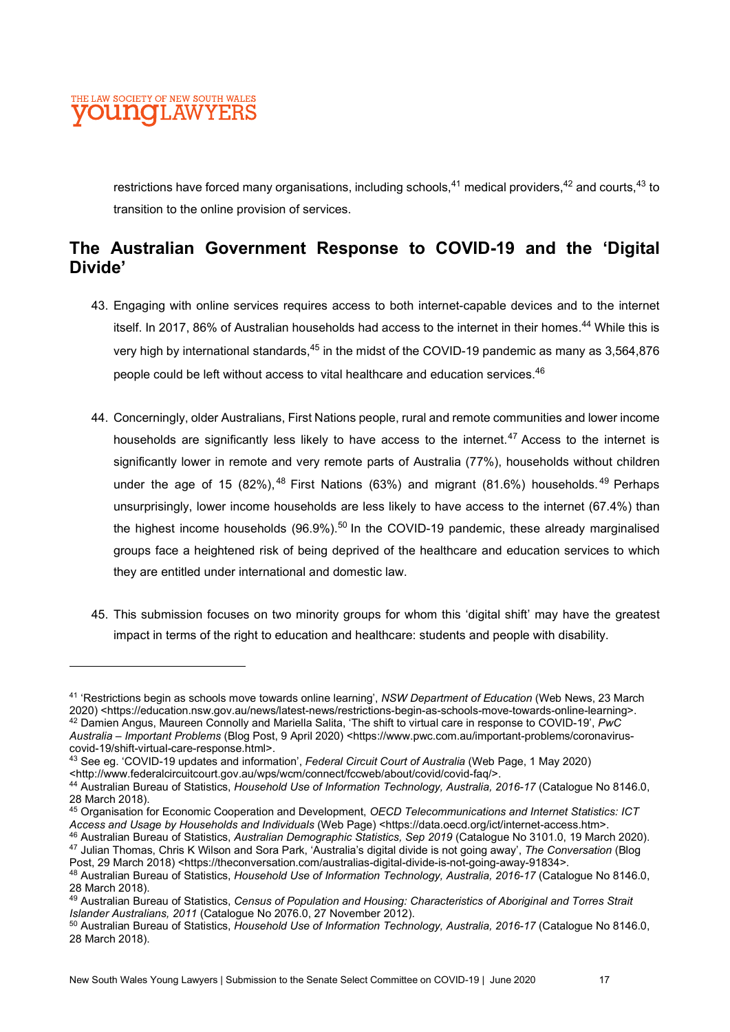

restrictions have forced many organisations, including schools,  $41$  medical providers,  $42$  and courts,  $43$  to transition to the online provision of services.

## The Australian Government Response to COVID-19 and the 'Digital Divide'

- 43. Engaging with online services requires access to both internet-capable devices and to the internet itself. In 2017, 86% of Australian households had access to the internet in their homes.<sup>44</sup> While this is very high by international standards,<sup>45</sup> in the midst of the COVID-19 pandemic as many as 3,564,876 people could be left without access to vital healthcare and education services.<sup>46</sup>
- 44. Concerningly, older Australians, First Nations people, rural and remote communities and lower income households are significantly less likely to have access to the internet.<sup>47</sup> Access to the internet is significantly lower in remote and very remote parts of Australia (77%), households without children under the age of 15  $(82\%)$ , <sup>48</sup> First Nations  $(63\%)$  and migrant  $(81.6\%)$  households. <sup>49</sup> Perhaps unsurprisingly, lower income households are less likely to have access to the internet (67.4%) than the highest income households  $(96.9\%)$ <sup>50</sup> In the COVID-19 pandemic, these already marginalised groups face a heightened risk of being deprived of the healthcare and education services to which they are entitled under international and domestic law.
- 45. This submission focuses on two minority groups for whom this 'digital shift' may have the greatest impact in terms of the right to education and healthcare: students and people with disability.

<sup>46</sup> Australian Bureau of Statistics, Australian Demographic Statistics, Sep 2019 (Catalogue No 3101.0, 19 March 2020). 47 Julian Thomas, Chris K Wilson and Sora Park, 'Australia's digital divide is not going away', The Conversation (Blog Post, 29 March 2018) <https://theconversation.com/australias-digital-divide-is-not-going-away-91834>.

<sup>&</sup>lt;sup>41</sup> 'Restrictions begin as schools move towards online learning', NSW Department of Education (Web News, 23 March 2020) <https://education.nsw.gov.au/news/latest-news/restrictions-begin-as-schools-move-towards-online-learning>.  $^{42}$  Damien Angus, Maureen Connolly and Mariella Salita, 'The shift to virtual care in response to COVID-19',  $PwC$ Australia – Important Problems (Blog Post, 9 April 2020) <https://www.pwc.com.au/important-problems/coronaviruscovid-19/shift-virtual-care-response.html>.

<sup>&</sup>lt;sup>43</sup> See eq. 'COVID-19 updates and information', Federal Circuit Court of Australia (Web Page, 1 May 2020)

<sup>&</sup>lt;http://www.federalcircuitcourt.gov.au/wps/wcm/connect/fccweb/about/covid/covid-faq/>.

<sup>44</sup> Australian Bureau of Statistics, Household Use of Information Technology, Australia, 2016-17 (Catalogue No 8146.0, 28 March 2018).

<sup>45</sup> Organisation for Economic Cooperation and Development, OECD Telecommunications and Internet Statistics: ICT Access and Usage by Households and Individuals (Web Page) <https://data.oecd.org/ict/internet-access.htm>.

<sup>48</sup> Australian Bureau of Statistics, Household Use of Information Technology, Australia, 2016-17 (Catalogue No 8146.0, 28 March 2018).

<sup>49</sup> Australian Bureau of Statistics, Census of Population and Housing: Characteristics of Aboriginal and Torres Strait Islander Australians, 2011 (Catalogue No 2076.0, 27 November 2012).

<sup>50</sup> Australian Bureau of Statistics, Household Use of Information Technology, Australia, 2016-17 (Catalogue No 8146.0, 28 March 2018).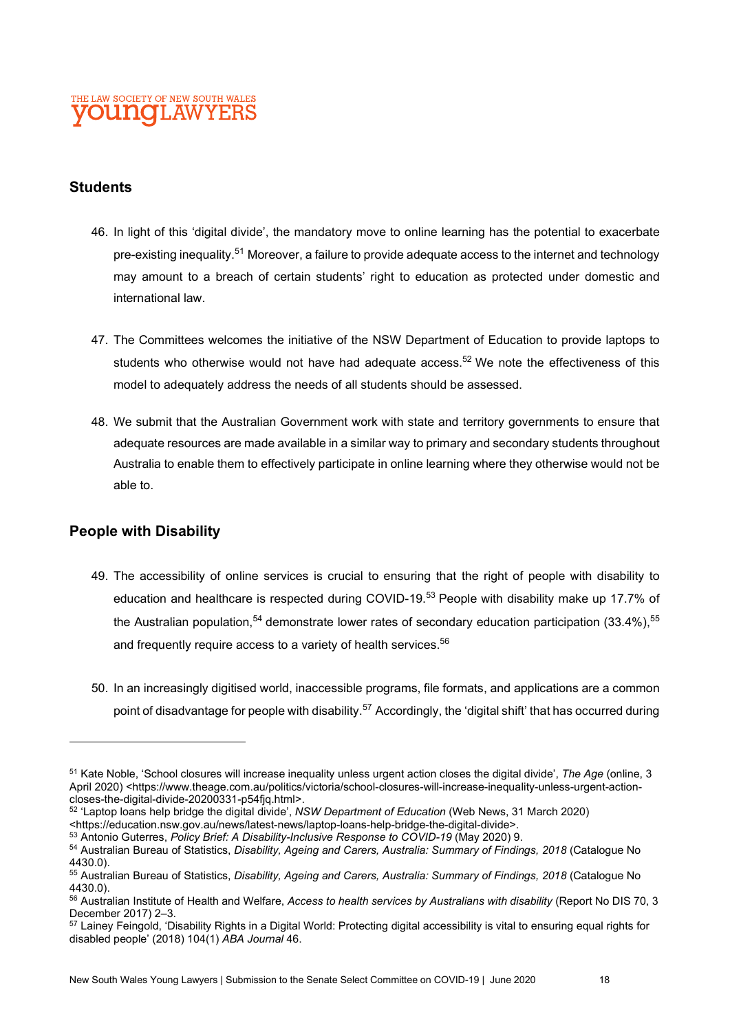#### **Students**

- 46. In light of this 'digital divide', the mandatory move to online learning has the potential to exacerbate pre-existing inequality.<sup>51</sup> Moreover, a failure to provide adequate access to the internet and technology may amount to a breach of certain students' right to education as protected under domestic and international law.
- 47. The Committees welcomes the initiative of the NSW Department of Education to provide laptops to students who otherwise would not have had adequate access.<sup>52</sup> We note the effectiveness of this model to adequately address the needs of all students should be assessed.
- 48. We submit that the Australian Government work with state and territory governments to ensure that adequate resources are made available in a similar way to primary and secondary students throughout Australia to enable them to effectively participate in online learning where they otherwise would not be able to.

#### People with Disability

- 49. The accessibility of online services is crucial to ensuring that the right of people with disability to education and healthcare is respected during COVID-19.<sup>53</sup> People with disability make up 17.7% of the Australian population,<sup>54</sup> demonstrate lower rates of secondary education participation (33.4%),<sup>55</sup> and frequently require access to a variety of health services.<sup>56</sup>
- 50. In an increasingly digitised world, inaccessible programs, file formats, and applications are a common point of disadvantage for people with disability.<sup>57</sup> Accordingly, the 'digital shift' that has occurred during

53 Antonio Guterres, Policy Brief: A Disability-Inclusive Response to COVID-19 (May 2020) 9.

<sup>&</sup>lt;sup>51</sup> Kate Noble, 'School closures will increase inequality unless urgent action closes the digital divide', The Age (online, 3) April 2020) <https://www.theage.com.au/politics/victoria/school-closures-will-increase-inequality-unless-urgent-actioncloses-the-digital-divide-20200331-p54fjq.html>.

<sup>52</sup> 'Laptop loans help bridge the digital divide', NSW Department of Education (Web News, 31 March 2020) <https://education.nsw.gov.au/news/latest-news/laptop-loans-help-bridge-the-digital-divide>.

<sup>54</sup> Australian Bureau of Statistics, Disability, Ageing and Carers, Australia: Summary of Findings, 2018 (Catalogue No 4430.0).

<sup>55</sup> Australian Bureau of Statistics, Disability, Ageing and Carers, Australia: Summary of Findings, 2018 (Catalogue No 4430.0).

<sup>56</sup> Australian Institute of Health and Welfare, Access to health services by Australians with disability (Report No DIS 70, 3 December 2017) 2–3.

<sup>&</sup>lt;sup>57</sup> Lainey Feingold, 'Disability Rights in a Digital World: Protecting digital accessibility is vital to ensuring equal rights for disabled people' (2018) 104(1) ABA Journal 46.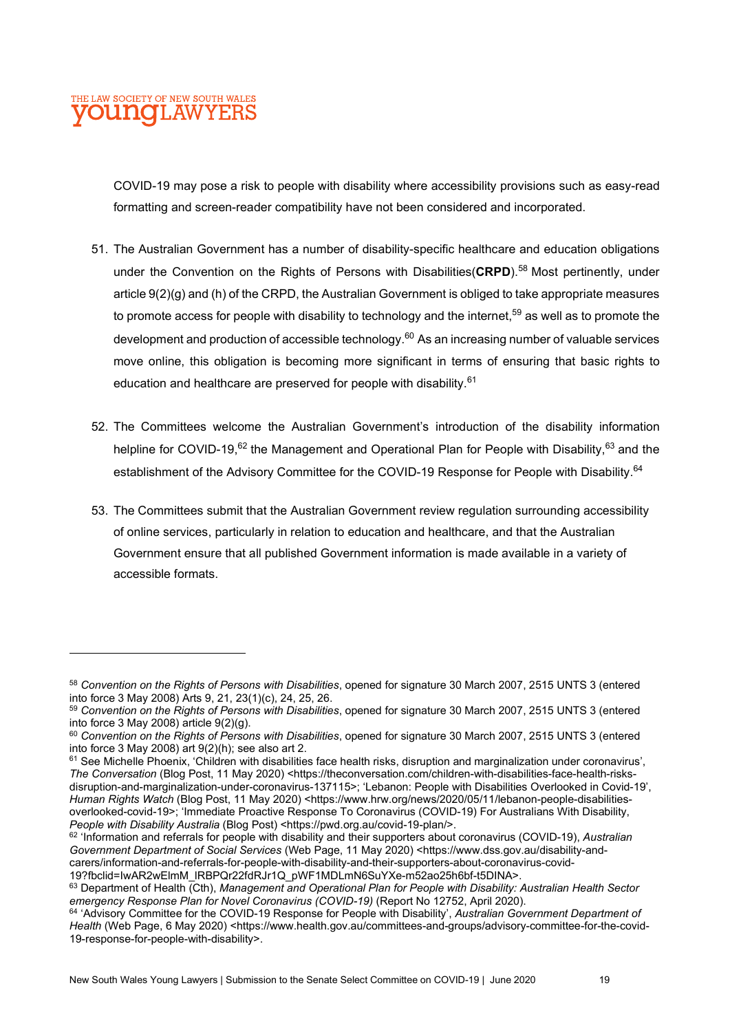COVID-19 may pose a risk to people with disability where accessibility provisions such as easy-read formatting and screen-reader compatibility have not been considered and incorporated.

- 51. The Australian Government has a number of disability-specific healthcare and education obligations under the Convention on the Rights of Persons with Disabilities( $CRPD$ ).<sup>58</sup> Most pertinently, under article 9(2)(g) and (h) of the CRPD, the Australian Government is obliged to take appropriate measures to promote access for people with disability to technology and the internet,<sup>59</sup> as well as to promote the development and production of accessible technology. $60$  As an increasing number of valuable services move online, this obligation is becoming more significant in terms of ensuring that basic rights to education and healthcare are preserved for people with disability.<sup>61</sup>
- 52. The Committees welcome the Australian Government's introduction of the disability information helpline for COVID-19.<sup>62</sup> the Management and Operational Plan for People with Disability.<sup>63</sup> and the establishment of the Advisory Committee for the COVID-19 Response for People with Disability.<sup>64</sup>
- 53. The Committees submit that the Australian Government review regulation surrounding accessibility of online services, particularly in relation to education and healthcare, and that the Australian Government ensure that all published Government information is made available in a variety of accessible formats.

<sup>58</sup> Convention on the Rights of Persons with Disabilities, opened for signature 30 March 2007, 2515 UNTS 3 (entered into force 3 May 2008) Arts 9, 21, 23(1)(c), 24, 25, 26.

<sup>59</sup> Convention on the Rights of Persons with Disabilities, opened for signature 30 March 2007, 2515 UNTS 3 (entered into force 3 May 2008) article 9(2)(g).

<sup>60</sup> Convention on the Rights of Persons with Disabilities, opened for signature 30 March 2007, 2515 UNTS 3 (entered into force 3 May 2008) art  $9(2)(h)$ ; see also art 2.

<sup>&</sup>lt;sup>61</sup> See Michelle Phoenix, 'Children with disabilities face health risks, disruption and marginalization under coronavirus', The Conversation (Blog Post, 11 May 2020) <https://theconversation.com/children-with-disabilities-face-health-risksdisruption-and-marginalization-under-coronavirus-137115>; 'Lebanon: People with Disabilities Overlooked in Covid-19', Human Rights Watch (Blog Post, 11 May 2020) <https://www.hrw.org/news/2020/05/11/lebanon-people-disabilitiesoverlooked-covid-19>; 'Immediate Proactive Response To Coronavirus (COVID-19) For Australians With Disability, People with Disability Australia (Blog Post) <https://pwd.org.au/covid-19-plan/>.

<sup>62 &#</sup>x27;Information and referrals for people with disability and their supporters about coronavirus (COVID-19), Australian Government Department of Social Services (Web Page, 11 May 2020) <https://www.dss.gov.au/disability-andcarers/information-and-referrals-for-people-with-disability-and-their-supporters-about-coronavirus-covid-19?fbclid=IwAR2wElmM\_lRBPQr22fdRJr1Q\_pWF1MDLmN6SuYXe-m52ao25h6bf-t5DINA>.

<sup>63</sup> Department of Health (Cth), Management and Operational Plan for People with Disability: Australian Health Sector emergency Response Plan for Novel Coronavirus (COVID-19) (Report No 12752, April 2020).

<sup>64 &#</sup>x27;Advisory Committee for the COVID-19 Response for People with Disability', Australian Government Department of Health (Web Page, 6 May 2020) <https://www.health.gov.au/committees-and-groups/advisory-committee-for-the-covid-19-response-for-people-with-disability>.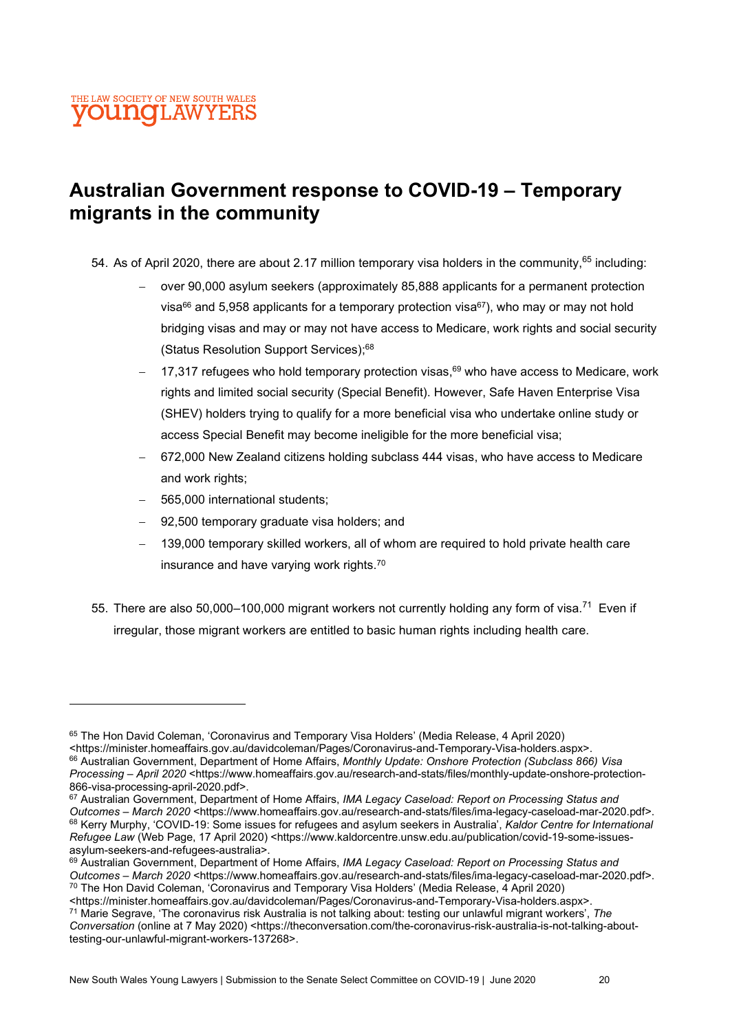## Australian Government response to COVID-19 – Temporary migrants in the community

- 54. As of April 2020, there are about 2.17 million temporary visa holders in the community,  $65$  including:
	- over 90,000 asylum seekers (approximately 85,888 applicants for a permanent protection visa<sup>66</sup> and 5,958 applicants for a temporary protection visa<sup>67</sup>), who may or may not hold bridging visas and may or may not have access to Medicare, work rights and social security (Status Resolution Support Services);<sup>68</sup>
	- 17,317 refugees who hold temporary protection visas, $69$  who have access to Medicare, work rights and limited social security (Special Benefit). However, Safe Haven Enterprise Visa (SHEV) holders trying to qualify for a more beneficial visa who undertake online study or access Special Benefit may become ineligible for the more beneficial visa;
	- 672,000 New Zealand citizens holding subclass 444 visas, who have access to Medicare and work rights:
	- 565,000 international students;
	- 92,500 temporary graduate visa holders; and
	- 139,000 temporary skilled workers, all of whom are required to hold private health care insurance and have varying work rights.<sup>70</sup>
- 55. There are also 50,000–100,000 migrant workers not currently holding any form of visa.<sup>71</sup> Even if irregular, those migrant workers are entitled to basic human rights including health care.

<https://minister.homeaffairs.gov.au/davidcoleman/Pages/Coronavirus-and-Temporary-Visa-holders.aspx>. <sup>71</sup> Marie Segrave, 'The coronavirus risk Australia is not talking about: testing our unlawful migrant workers', The

<sup>65</sup> The Hon David Coleman, 'Coronavirus and Temporary Visa Holders' (Media Release, 4 April 2020) <https://minister.homeaffairs.gov.au/davidcoleman/Pages/Coronavirus-and-Temporary-Visa-holders.aspx>. 66 Australian Government, Department of Home Affairs, Monthly Update: Onshore Protection (Subclass 866) Visa Processing – April 2020 <https://www.homeaffairs.gov.au/research-and-stats/files/monthly-update-onshore-protection-866-visa-processing-april-2020.pdf>.

<sup>67</sup> Australian Government, Department of Home Affairs, IMA Legacy Caseload: Report on Processing Status and Outcomes – March 2020 <https://www.homeaffairs.gov.au/research-and-stats/files/ima-legacy-caseload-mar-2020.pdf>. 68 Kerry Murphy, 'COVID-19: Some issues for refugees and asylum seekers in Australia', Kaldor Centre for International Refugee Law (Web Page, 17 April 2020) <https://www.kaldorcentre.unsw.edu.au/publication/covid-19-some-issuesasylum-seekers-and-refugees-australia>.

<sup>69</sup> Australian Government, Department of Home Affairs, IMA Legacy Caseload: Report on Processing Status and Outcomes – March 2020 <https://www.homeaffairs.gov.au/research-and-stats/files/ima-legacy-caseload-mar-2020.pdf>. <sup>70</sup> The Hon David Coleman, 'Coronavirus and Temporary Visa Holders' (Media Release, 4 April 2020)

Conversation (online at 7 May 2020) <https://theconversation.com/the-coronavirus-risk-australia-is-not-talking-abouttesting-our-unlawful-migrant-workers-137268>.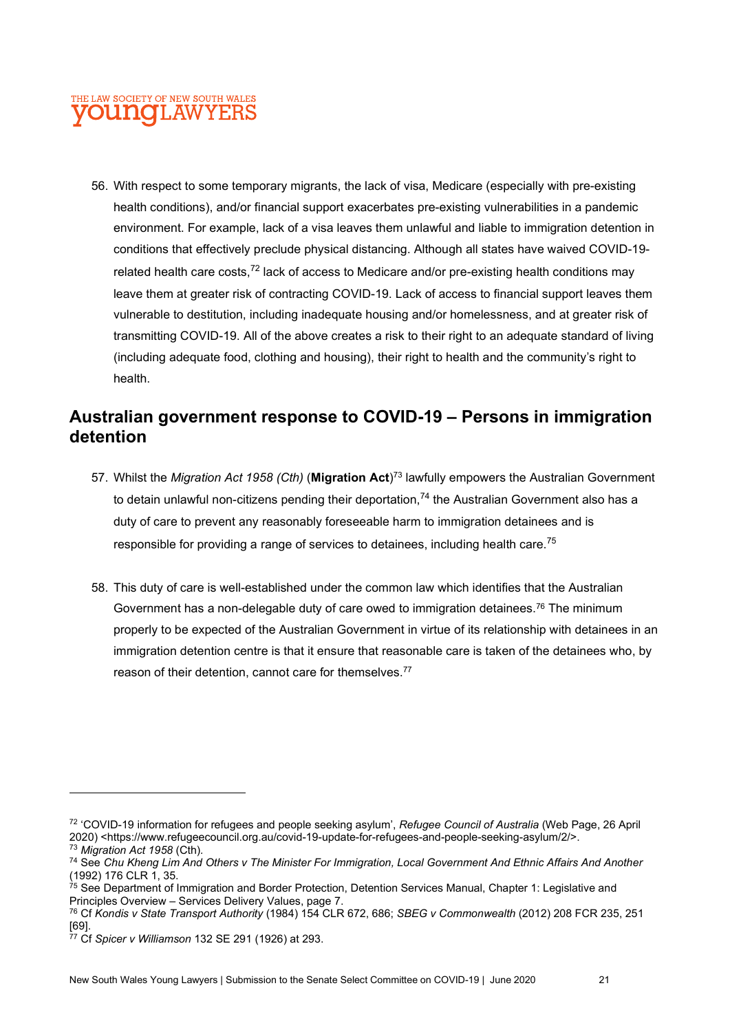56. With respect to some temporary migrants, the lack of visa, Medicare (especially with pre-existing health conditions), and/or financial support exacerbates pre-existing vulnerabilities in a pandemic environment. For example, lack of a visa leaves them unlawful and liable to immigration detention in conditions that effectively preclude physical distancing. Although all states have waived COVID-19 related health care costs, $^{72}$  lack of access to Medicare and/or pre-existing health conditions may leave them at greater risk of contracting COVID-19. Lack of access to financial support leaves them vulnerable to destitution, including inadequate housing and/or homelessness, and at greater risk of transmitting COVID-19. All of the above creates a risk to their right to an adequate standard of living (including adequate food, clothing and housing), their right to health and the community's right to health.

### Australian government response to COVID-19 – Persons in immigration detention

- 57. Whilst the *Migration Act 1958 (Cth)* (**Migration Act**)<sup>73</sup> lawfully empowers the Australian Government to detain unlawful non-citizens pending their deportation,<sup>74</sup> the Australian Government also has a duty of care to prevent any reasonably foreseeable harm to immigration detainees and is responsible for providing a range of services to detainees, including health care.<sup>75</sup>
- 58. This duty of care is well-established under the common law which identifies that the Australian Government has a non-delegable duty of care owed to immigration detainees.<sup>76</sup> The minimum properly to be expected of the Australian Government in virtue of its relationship with detainees in an immigration detention centre is that it ensure that reasonable care is taken of the detainees who, by reason of their detention, cannot care for themselves.<sup>77</sup>

<sup>72 &#</sup>x27;COVID-19 information for refugees and people seeking asylum', Refugee Council of Australia (Web Page, 26 April 2020) <https://www.refugeecouncil.org.au/covid-19-update-for-refugees-and-people-seeking-asylum/2/>. <sup>73</sup> Migration Act 1958 (Cth).

<sup>&</sup>lt;sup>74</sup> See Chu Kheng Lim And Others v The Minister For Immigration, Local Government And Ethnic Affairs And Another (1992) 176 CLR 1, 35.

 $75$  See Department of Immigration and Border Protection, Detention Services Manual, Chapter 1: Legislative and Principles Overview – Services Delivery Values, page 7.

<sup>76</sup> Cf Kondis v State Transport Authority (1984) 154 CLR 672, 686; SBEG v Commonwealth (2012) 208 FCR 235, 251 [69].

 $77$  Cf Spicer v Williamson 132 SE 291 (1926) at 293.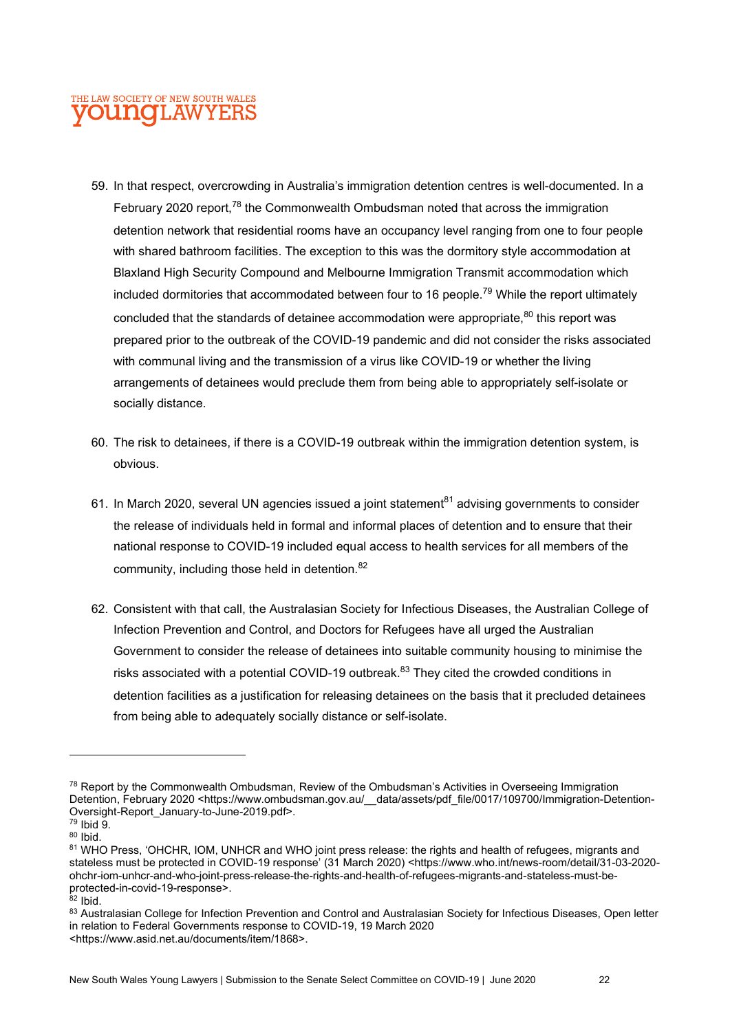- 59. In that respect, overcrowding in Australia's immigration detention centres is well-documented. In a February 2020 report.<sup>78</sup> the Commonwealth Ombudsman noted that across the immigration detention network that residential rooms have an occupancy level ranging from one to four people with shared bathroom facilities. The exception to this was the dormitory style accommodation at Blaxland High Security Compound and Melbourne Immigration Transmit accommodation which included dormitories that accommodated between four to 16 people.<sup>79</sup> While the report ultimately concluded that the standards of detainee accommodation were appropriate. $80$  this report was prepared prior to the outbreak of the COVID-19 pandemic and did not consider the risks associated with communal living and the transmission of a virus like COVID-19 or whether the living arrangements of detainees would preclude them from being able to appropriately self-isolate or socially distance.
- 60. The risk to detainees, if there is a COVID-19 outbreak within the immigration detention system, is obvious.
- 61. In March 2020, several UN agencies issued a joint statement<sup>81</sup> advising governments to consider the release of individuals held in formal and informal places of detention and to ensure that their national response to COVID-19 included equal access to health services for all members of the community, including those held in detention.<sup>82</sup>
- 62. Consistent with that call, the Australasian Society for Infectious Diseases, the Australian College of Infection Prevention and Control, and Doctors for Refugees have all urged the Australian Government to consider the release of detainees into suitable community housing to minimise the risks associated with a potential COVID-19 outbreak.<sup>83</sup> They cited the crowded conditions in detention facilities as a justification for releasing detainees on the basis that it precluded detainees from being able to adequately socially distance or self-isolate.

 $82$  Ibid.

<sup>78</sup> Report by the Commonwealth Ombudsman, Review of the Ombudsman's Activities in Overseeing Immigration Detention, February 2020 <https://www.ombudsman.gov.au/ data/assets/pdf\_file/0017/109700/Immigration-Detention-Oversight-Report\_January-to-June-2019.pdf>.

<sup>79</sup> Ibid 9. <sup>80</sup> Ibid.

<sup>81</sup> WHO Press, 'OHCHR, IOM, UNHCR and WHO joint press release: the rights and health of refugees, migrants and stateless must be protected in COVID-19 response' (31 March 2020) <https://www.who.int/news-room/detail/31-03-2020ohchr-iom-unhcr-and-who-joint-press-release-the-rights-and-health-of-refugees-migrants-and-stateless-must-beprotected-in-covid-19-response>.

<sup>83</sup> Australasian College for Infection Prevention and Control and Australasian Society for Infectious Diseases, Open letter in relation to Federal Governments response to COVID-19, 19 March 2020 <https://www.asid.net.au/documents/item/1868>.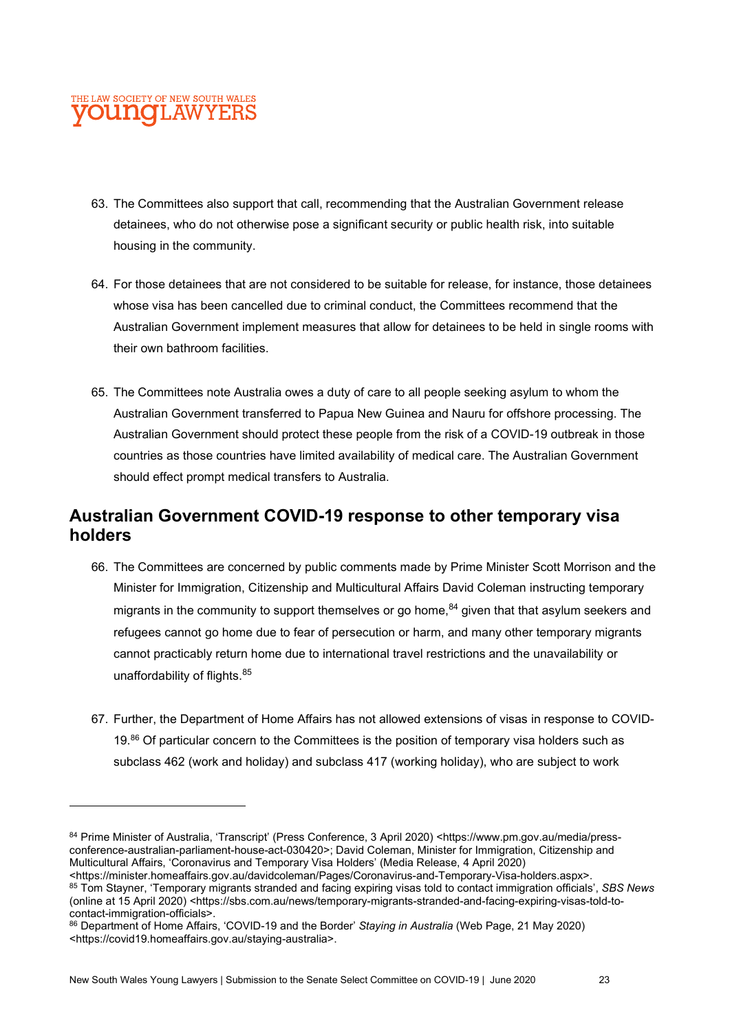- 63. The Committees also support that call, recommending that the Australian Government release detainees, who do not otherwise pose a significant security or public health risk, into suitable housing in the community.
- 64. For those detainees that are not considered to be suitable for release, for instance, those detainees whose visa has been cancelled due to criminal conduct, the Committees recommend that the Australian Government implement measures that allow for detainees to be held in single rooms with their own bathroom facilities.
- 65. The Committees note Australia owes a duty of care to all people seeking asylum to whom the Australian Government transferred to Papua New Guinea and Nauru for offshore processing. The Australian Government should protect these people from the risk of a COVID-19 outbreak in those countries as those countries have limited availability of medical care. The Australian Government should effect prompt medical transfers to Australia.

## Australian Government COVID-19 response to other temporary visa holders

- 66. The Committees are concerned by public comments made by Prime Minister Scott Morrison and the Minister for Immigration, Citizenship and Multicultural Affairs David Coleman instructing temporary migrants in the community to support themselves or go home,  $84$  given that that asylum seekers and refugees cannot go home due to fear of persecution or harm, and many other temporary migrants cannot practicably return home due to international travel restrictions and the unavailability or unaffordability of flights.<sup>85</sup>
- 67. Further, the Department of Home Affairs has not allowed extensions of visas in response to COVID-19.<sup>86</sup> Of particular concern to the Committees is the position of temporary visa holders such as subclass 462 (work and holiday) and subclass 417 (working holiday), who are subject to work

85 Tom Stayner, 'Temporary migrants stranded and facing expiring visas told to contact immigration officials', SBS News (online at 15 April 2020) <https://sbs.com.au/news/temporary-migrants-stranded-and-facing-expiring-visas-told-tocontact-immigration-officials>.

<sup>84</sup> Prime Minister of Australia, 'Transcript' (Press Conference, 3 April 2020) <https://www.pm.gov.au/media/pressconference-australian-parliament-house-act-030420>; David Coleman, Minister for Immigration, Citizenship and Multicultural Affairs, 'Coronavirus and Temporary Visa Holders' (Media Release, 4 April 2020)

<sup>&</sup>lt;https://minister.homeaffairs.gov.au/davidcoleman/Pages/Coronavirus-and-Temporary-Visa-holders.aspx>.

<sup>86</sup> Department of Home Affairs, 'COVID-19 and the Border' Staying in Australia (Web Page, 21 May 2020) <https://covid19.homeaffairs.gov.au/staying-australia>.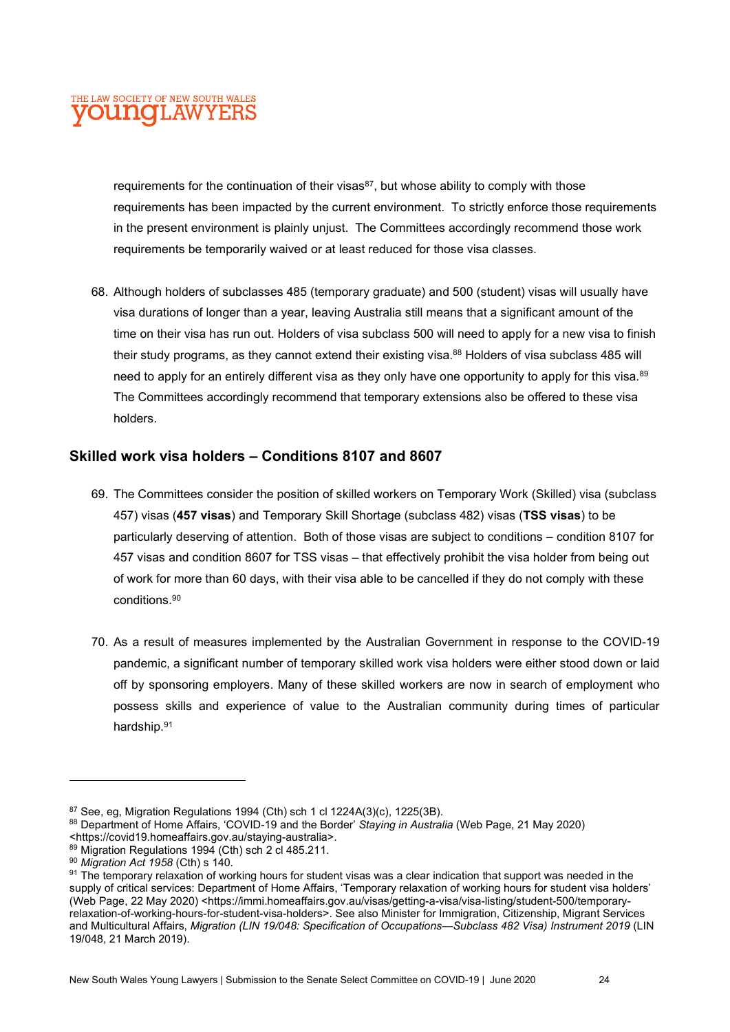requirements for the continuation of their visas $87$ , but whose ability to comply with those requirements has been impacted by the current environment. To strictly enforce those requirements in the present environment is plainly unjust. The Committees accordingly recommend those work requirements be temporarily waived or at least reduced for those visa classes.

68. Although holders of subclasses 485 (temporary graduate) and 500 (student) visas will usually have visa durations of longer than a year, leaving Australia still means that a significant amount of the time on their visa has run out. Holders of visa subclass 500 will need to apply for a new visa to finish their study programs, as they cannot extend their existing visa.<sup>88</sup> Holders of visa subclass 485 will need to apply for an entirely different visa as they only have one opportunity to apply for this visa.<sup>89</sup> The Committees accordingly recommend that temporary extensions also be offered to these visa holders.

#### Skilled work visa holders – Conditions 8107 and 8607

- 69. The Committees consider the position of skilled workers on Temporary Work (Skilled) visa (subclass 457) visas (457 visas) and Temporary Skill Shortage (subclass 482) visas (TSS visas) to be particularly deserving of attention. Both of those visas are subject to conditions – condition 8107 for 457 visas and condition 8607 for TSS visas – that effectively prohibit the visa holder from being out of work for more than 60 days, with their visa able to be cancelled if they do not comply with these conditions.<sup>90</sup>
- 70. As a result of measures implemented by the Australian Government in response to the COVID-19 pandemic, a significant number of temporary skilled work visa holders were either stood down or laid off by sponsoring employers. Many of these skilled workers are now in search of employment who possess skills and experience of value to the Australian community during times of particular hardship.<sup>91</sup>

New South Wales Young Lawyers | Submission to the Senate Select Committee on COVID-19 | June 2020 24

 $87$  See, eg, Migration Regulations 1994 (Cth) sch 1 cl 1224A(3)(c), 1225(3B).

<sup>88</sup> Department of Home Affairs, 'COVID-19 and the Border' Staying in Australia (Web Page, 21 May 2020)

<sup>&</sup>lt;https://covid19.homeaffairs.gov.au/staying-australia>.

<sup>89</sup> Migration Regulations 1994 (Cth) sch 2 cl 485.211.

<sup>90</sup> Migration Act 1958 (Cth) s 140.

<sup>91</sup> The temporary relaxation of working hours for student visas was a clear indication that support was needed in the supply of critical services: Department of Home Affairs, 'Temporary relaxation of working hours for student visa holders' (Web Page, 22 May 2020) <https://immi.homeaffairs.gov.au/visas/getting-a-visa/visa-listing/student-500/temporaryrelaxation-of-working-hours-for-student-visa-holders>. See also Minister for Immigration, Citizenship, Migrant Services and Multicultural Affairs, Migration (LIN 19/048: Specification of Occupations—Subclass 482 Visa) Instrument 2019 (LIN 19/048, 21 March 2019).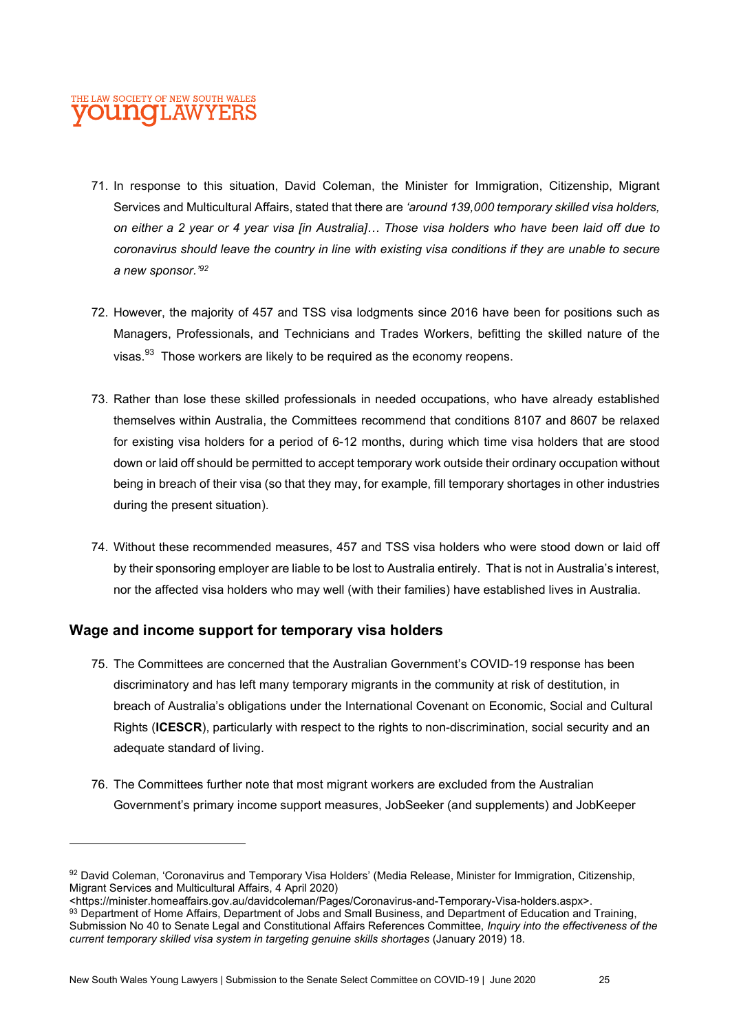- 71. In response to this situation, David Coleman, the Minister for Immigration, Citizenship, Migrant Services and Multicultural Affairs, stated that there are 'around 139,000 temporary skilled visa holders, on either a 2 year or 4 year visa [in Australia]… Those visa holders who have been laid off due to coronavirus should leave the country in line with existing visa conditions if they are unable to secure a new sponsor.'<sup>92</sup>
- 72. However, the majority of 457 and TSS visa lodgments since 2016 have been for positions such as Managers, Professionals, and Technicians and Trades Workers, befitting the skilled nature of the visas.<sup>93</sup> Those workers are likely to be required as the economy reopens.
- 73. Rather than lose these skilled professionals in needed occupations, who have already established themselves within Australia, the Committees recommend that conditions 8107 and 8607 be relaxed for existing visa holders for a period of 6-12 months, during which time visa holders that are stood down or laid off should be permitted to accept temporary work outside their ordinary occupation without being in breach of their visa (so that they may, for example, fill temporary shortages in other industries during the present situation).
- 74. Without these recommended measures, 457 and TSS visa holders who were stood down or laid off by their sponsoring employer are liable to be lost to Australia entirely. That is not in Australia's interest, nor the affected visa holders who may well (with their families) have established lives in Australia.

#### Wage and income support for temporary visa holders

- 75. The Committees are concerned that the Australian Government's COVID-19 response has been discriminatory and has left many temporary migrants in the community at risk of destitution, in breach of Australia's obligations under the International Covenant on Economic, Social and Cultural Rights (ICESCR), particularly with respect to the rights to non-discrimination, social security and an adequate standard of living.
- 76. The Committees further note that most migrant workers are excluded from the Australian Government's primary income support measures, JobSeeker (and supplements) and JobKeeper

93 Department of Home Affairs, Department of Jobs and Small Business, and Department of Education and Training, Submission No 40 to Senate Legal and Constitutional Affairs References Committee, Inquiry into the effectiveness of the current temporary skilled visa system in targeting genuine skills shortages (January 2019) 18.

<sup>92</sup> David Coleman, 'Coronavirus and Temporary Visa Holders' (Media Release, Minister for Immigration, Citizenship, Migrant Services and Multicultural Affairs, 4 April 2020)

<sup>&</sup>lt;https://minister.homeaffairs.gov.au/davidcoleman/Pages/Coronavirus-and-Temporary-Visa-holders.aspx>.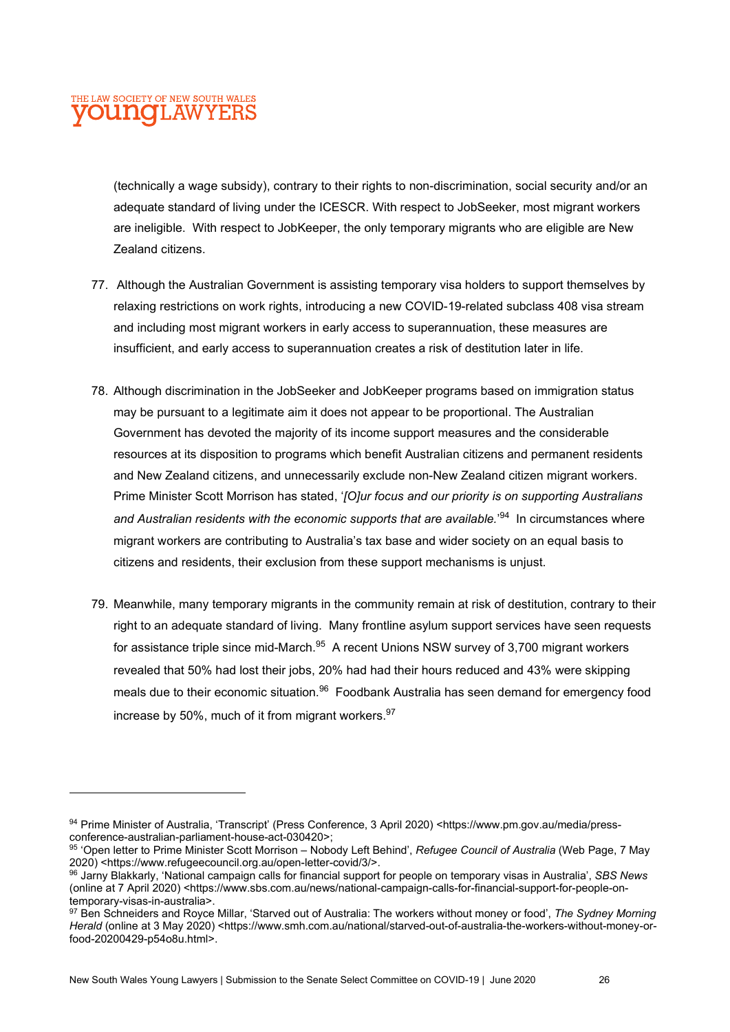(technically a wage subsidy), contrary to their rights to non-discrimination, social security and/or an adequate standard of living under the ICESCR. With respect to JobSeeker, most migrant workers are ineligible. With respect to JobKeeper, the only temporary migrants who are eligible are New Zealand citizens.

- 77. Although the Australian Government is assisting temporary visa holders to support themselves by relaxing restrictions on work rights, introducing a new COVID-19-related subclass 408 visa stream and including most migrant workers in early access to superannuation, these measures are insufficient, and early access to superannuation creates a risk of destitution later in life.
- 78. Although discrimination in the JobSeeker and JobKeeper programs based on immigration status may be pursuant to a legitimate aim it does not appear to be proportional. The Australian Government has devoted the majority of its income support measures and the considerable resources at its disposition to programs which benefit Australian citizens and permanent residents and New Zealand citizens, and unnecessarily exclude non-New Zealand citizen migrant workers. Prime Minister Scott Morrison has stated, '[O]ur focus and our priority is on supporting Australians and Australian residents with the economic supports that are available.<sup>'94</sup> In circumstances where migrant workers are contributing to Australia's tax base and wider society on an equal basis to citizens and residents, their exclusion from these support mechanisms is unjust.
- 79. Meanwhile, many temporary migrants in the community remain at risk of destitution, contrary to their right to an adequate standard of living. Many frontline asylum support services have seen requests for assistance triple since mid-March.<sup>95</sup> A recent Unions NSW survey of 3,700 migrant workers revealed that 50% had lost their jobs, 20% had had their hours reduced and 43% were skipping meals due to their economic situation.<sup>96</sup> Foodbank Australia has seen demand for emergency food increase by 50%, much of it from migrant workers. $97$

<sup>94</sup> Prime Minister of Australia, 'Transcript' (Press Conference, 3 April 2020) <https://www.pm.gov.au/media/pressconference-australian-parliament-house-act-030420>;

<sup>95 &#</sup>x27;Open letter to Prime Minister Scott Morrison – Nobody Left Behind', Refugee Council of Australia (Web Page, 7 May 2020) <https://www.refugeecouncil.org.au/open-letter-covid/3/>.

<sup>96</sup> Jarny Blakkarly, 'National campaign calls for financial support for people on temporary visas in Australia', SBS News (online at 7 April 2020) <https://www.sbs.com.au/news/national-campaign-calls-for-financial-support-for-people-ontemporary-visas-in-australia>.

<sup>97</sup> Ben Schneiders and Royce Millar, 'Starved out of Australia: The workers without money or food', The Sydney Morning Herald (online at 3 May 2020) <https://www.smh.com.au/national/starved-out-of-australia-the-workers-without-money-orfood-20200429-p54o8u.html>.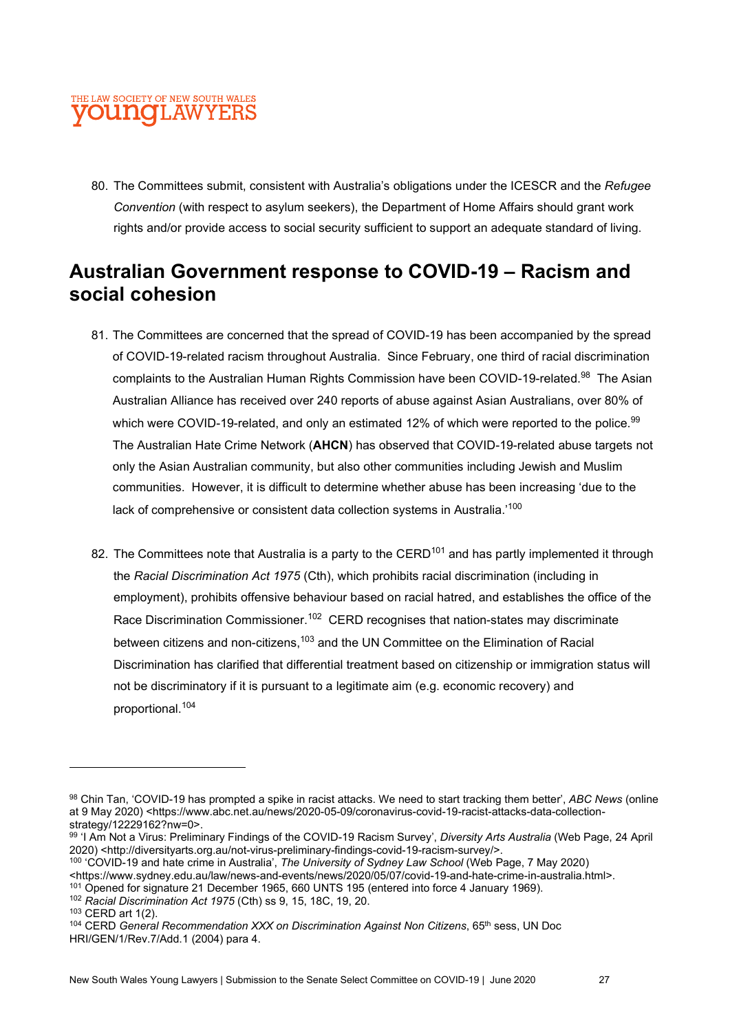80. The Committees submit, consistent with Australia's obligations under the ICESCR and the Refugee Convention (with respect to asylum seekers), the Department of Home Affairs should grant work rights and/or provide access to social security sufficient to support an adequate standard of living.

## Australian Government response to COVID-19 – Racism and social cohesion

- 81. The Committees are concerned that the spread of COVID-19 has been accompanied by the spread of COVID-19-related racism throughout Australia. Since February, one third of racial discrimination complaints to the Australian Human Rights Commission have been COVID-19-related.<sup>98</sup> The Asian Australian Alliance has received over 240 reports of abuse against Asian Australians, over 80% of which were COVID-19-related, and only an estimated 12% of which were reported to the police. $^{99}$ The Australian Hate Crime Network (AHCN) has observed that COVID-19-related abuse targets not only the Asian Australian community, but also other communities including Jewish and Muslim communities. However, it is difficult to determine whether abuse has been increasing 'due to the lack of comprehensive or consistent data collection systems in Australia.'<sup>100</sup>
- 82. The Committees note that Australia is a party to the CERD<sup>101</sup> and has partly implemented it through the Racial Discrimination Act 1975 (Cth), which prohibits racial discrimination (including in employment), prohibits offensive behaviour based on racial hatred, and establishes the office of the Race Discrimination Commissioner.<sup>102</sup> CERD recognises that nation-states may discriminate between citizens and non-citizens,<sup>103</sup> and the UN Committee on the Elimination of Racial Discrimination has clarified that differential treatment based on citizenship or immigration status will not be discriminatory if it is pursuant to a legitimate aim (e.g. economic recovery) and proportional.<sup>104</sup>

<sup>100</sup> 'COVID-19 and hate crime in Australia', The University of Sydney Law School (Web Page, 7 May 2020)

<sup>101</sup> Opened for signature 21 December 1965, 660 UNTS 195 (entered into force 4 January 1969).

<sup>98</sup> Chin Tan, 'COVID-19 has prompted a spike in racist attacks. We need to start tracking them better', ABC News (online at 9 May 2020) <https://www.abc.net.au/news/2020-05-09/coronavirus-covid-19-racist-attacks-data-collectionstrategy/12229162?nw=0>.

<sup>99 &#</sup>x27;I Am Not a Virus: Preliminary Findings of the COVID-19 Racism Survey', Diversity Arts Australia (Web Page, 24 April 2020) <http://diversityarts.org.au/not-virus-preliminary-findings-covid-19-racism-survey/>.

<sup>&</sup>lt;https://www.sydney.edu.au/law/news-and-events/news/2020/05/07/covid-19-and-hate-crime-in-australia.html>.

<sup>102</sup> Racial Discrimination Act 1975 (Cth) ss 9, 15, 18C, 19, 20.

<sup>103</sup> CERD art 1(2).

<sup>&</sup>lt;sup>104</sup> CERD General Recommendation XXX on Discrimination Against Non Citizens, 65<sup>th</sup> sess, UN Doc HRI/GEN/1/Rev.7/Add.1 (2004) para 4.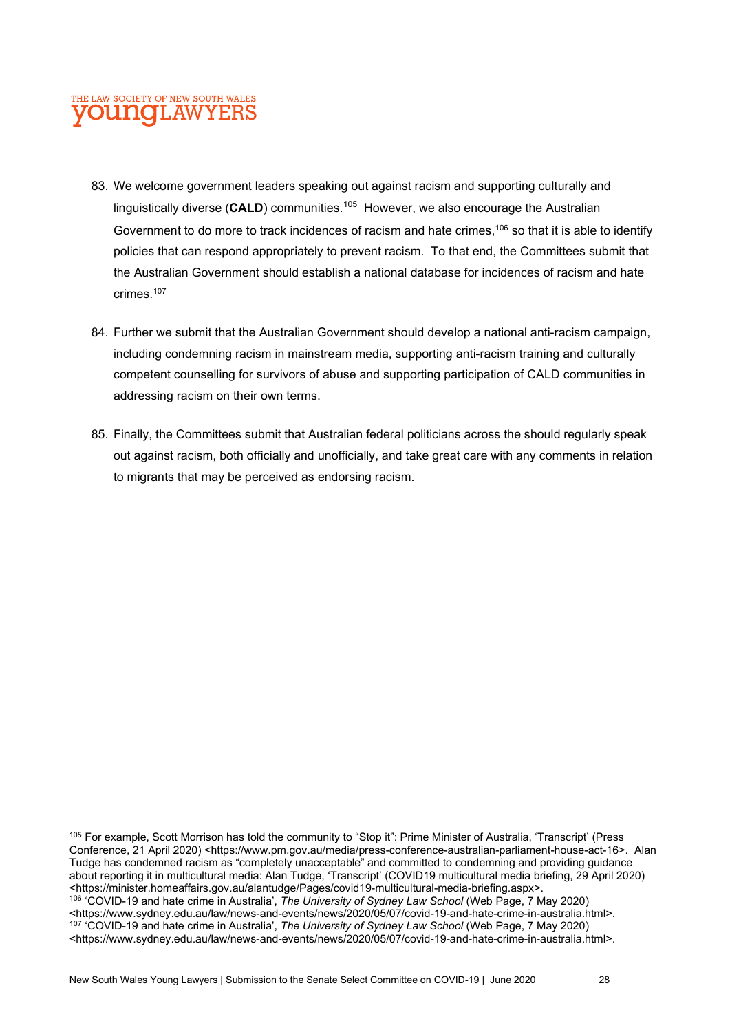- 83. We welcome government leaders speaking out against racism and supporting culturally and linguistically diverse ( $CALD$ ) communities.<sup>105</sup> However, we also encourage the Australian Government to do more to track incidences of racism and hate crimes,<sup>106</sup> so that it is able to identify policies that can respond appropriately to prevent racism. To that end, the Committees submit that the Australian Government should establish a national database for incidences of racism and hate crimes<sup>107</sup>
- 84. Further we submit that the Australian Government should develop a national anti-racism campaign, including condemning racism in mainstream media, supporting anti-racism training and culturally competent counselling for survivors of abuse and supporting participation of CALD communities in addressing racism on their own terms.
- 85. Finally, the Committees submit that Australian federal politicians across the should regularly speak out against racism, both officially and unofficially, and take great care with any comments in relation to migrants that may be perceived as endorsing racism.

<sup>105</sup> For example, Scott Morrison has told the community to "Stop it": Prime Minister of Australia, 'Transcript' (Press Conference, 21 April 2020) <https://www.pm.gov.au/media/press-conference-australian-parliament-house-act-16>. Alan Tudge has condemned racism as "completely unacceptable" and committed to condemning and providing guidance about reporting it in multicultural media: Alan Tudge, 'Transcript' (COVID19 multicultural media briefing, 29 April 2020) <https://minister.homeaffairs.gov.au/alantudge/Pages/covid19-multicultural-media-briefing.aspx>. <sup>106</sup> 'COVID-19 and hate crime in Australia', The University of Sydney Law School (Web Page, 7 May 2020) <https://www.sydney.edu.au/law/news-and-events/news/2020/05/07/covid-19-and-hate-crime-in-australia.html>. <sup>107</sup> 'COVID-19 and hate crime in Australia', The University of Sydney Law School (Web Page, 7 May 2020) <https://www.sydney.edu.au/law/news-and-events/news/2020/05/07/covid-19-and-hate-crime-in-australia.html>.